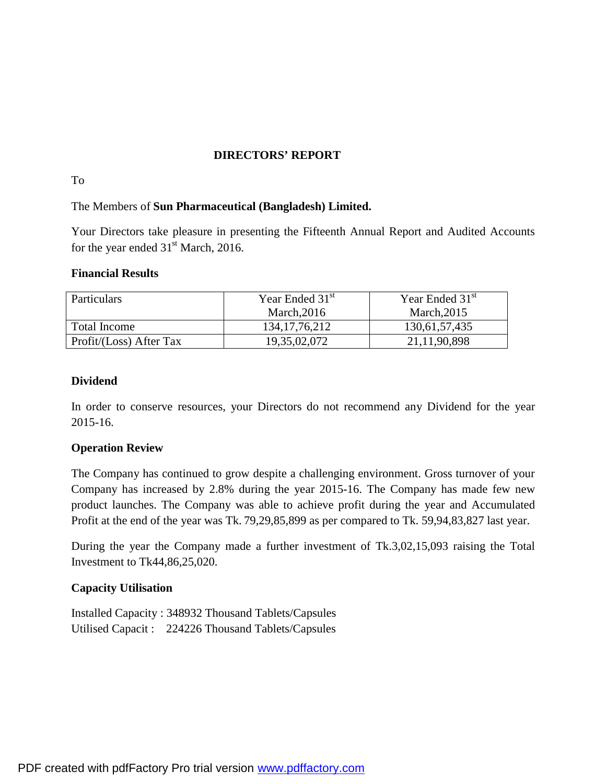### **DIRECTORS' REPORT**

### To

## The Members of **Sun Pharmaceutical (Bangladesh) Limited.**

Your Directors take pleasure in presenting the Fifteenth Annual Report and Audited Accounts for the year ended  $31<sup>st</sup>$  March, 2016.

## **Financial Results**

| <b>Particulars</b>      | Year Ended 31 <sup>st</sup> | Year Ended 31 <sup>st</sup> |
|-------------------------|-----------------------------|-----------------------------|
|                         | March, $2016$               | March, $2015$               |
| Total Income            | 134, 17, 76, 212            | 130,61,57,435               |
| Profit/(Loss) After Tax | 19,35,02,072                | 21, 11, 90, 898             |

### **Dividend**

In order to conserve resources, your Directors do not recommend any Dividend for the year 2015-16.

### **Operation Review**

The Company has continued to grow despite a challenging environment. Gross turnover of your Company has increased by 2.8% during the year 2015-16. The Company has made few new product launches. The Company was able to achieve profit during the year and Accumulated Profit at the end of the year was Tk. 79,29,85,899 as per compared to Tk. 59,94,83,827 last year.

During the year the Company made a further investment of Tk.3,02,15,093 raising the Total Investment to Tk44,86,25,020.

## **Capacity Utilisation**

Installed Capacity : 348932 Thousand Tablets/Capsules Utilised Capacit : 224226 Thousand Tablets/Capsules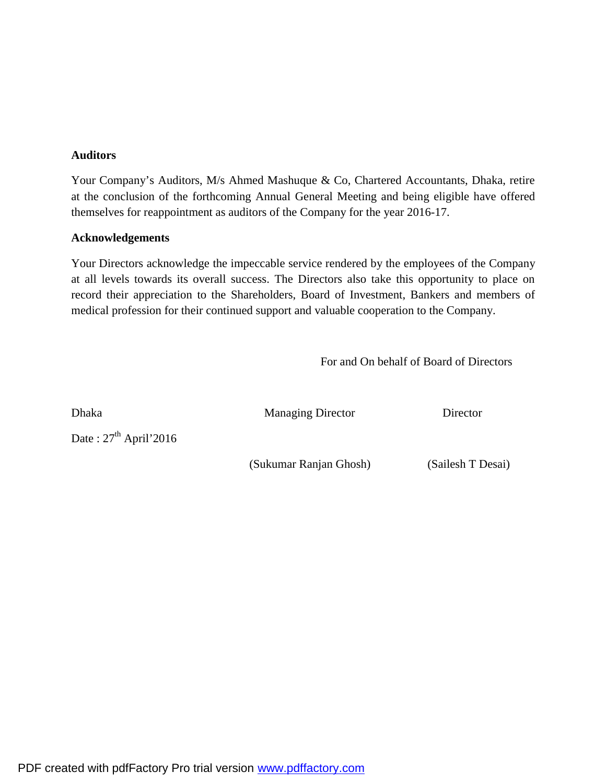### **Auditors**

Your Company's Auditors, M/s Ahmed Mashuque & Co, Chartered Accountants, Dhaka, retire at the conclusion of the forthcoming Annual General Meeting and being eligible have offered themselves for reappointment as auditors of the Company for the year 2016-17.

### **Acknowledgements**

Your Directors acknowledge the impeccable service rendered by the employees of the Company at all levels towards its overall success. The Directors also take this opportunity to place on record their appreciation to the Shareholders, Board of Investment, Bankers and members of medical profession for their continued support and valuable cooperation to the Company.

For and On behalf of Board of Directors

Date:  $27<sup>th</sup>$  April'2016

Dhaka Managing Director Director

(Sukumar Ranjan Ghosh) (Sailesh T Desai)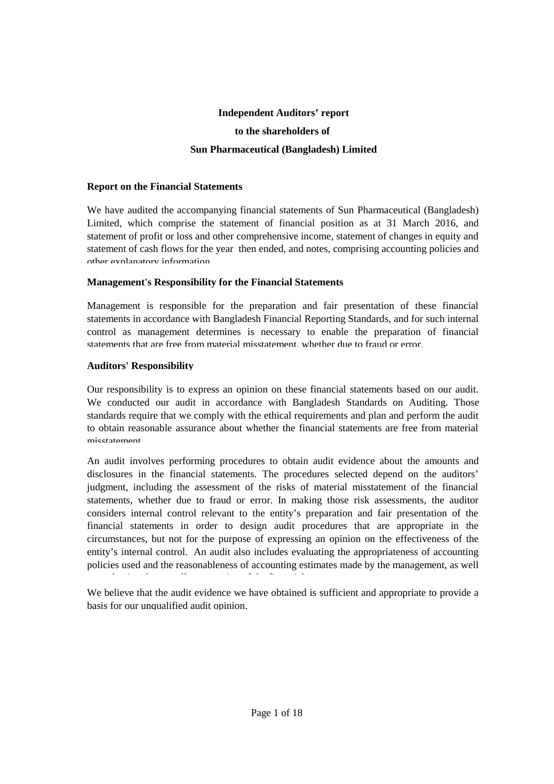# **Independent Auditors' report to the shareholders of Sun Pharmaceutical (Bangladesh) Limited**

### **Report on the Financial Statements**

We have audited the accompanying financial statements of Sun Pharmaceutical (Bangladesh) Limited, which comprise the statement of financial position as at 31 March 2016, and statement of profit or loss and other comprehensive income, statement of changes in equity and statement of cash flows for the year then ended, and notes, comprising accounting policies and other explanatory information.

### **Management's Responsibility for the Financial Statements**

Management is responsible for the preparation and fair presentation of these financial statements in accordance with Bangladesh Financial Reporting Standards, and for such internal control as management determines is necessary to enable the preparation of financial statements that are free from material misstatement, whether due to fraud or error.

### **Auditors' Responsibility**

Our responsibility is to express an opinion on these financial statements based on our audit. We conducted our audit in accordance with Bangladesh Standards on Auditing. Those standards require that we comply with the ethical requirements and plan and perform the audit to obtain reasonable assurance about whether the financial statements are free from material misstatement.

An audit involves performing procedures to obtain audit evidence about the amounts and disclosures in the financial statements. The procedures selected depend on the auditors' judgment, including the assessment of the risks of material misstatement of the financial statements, whether due to fraud or error. In making those risk assessments, the auditor considers internal control relevant to the entity's preparation and fair presentation of the financial statements in order to design audit procedures that are appropriate in the circumstances, but not for the purpose of expressing an opinion on the effectiveness of the entity's internal control. An audit also includes evaluating the appropriateness of accounting policies used and the reasonableness of accounting estimates made by the management, as well

We believe that the audit evidence we have obtained is sufficient and appropriate to provide a basis for our unqualified audit opinion.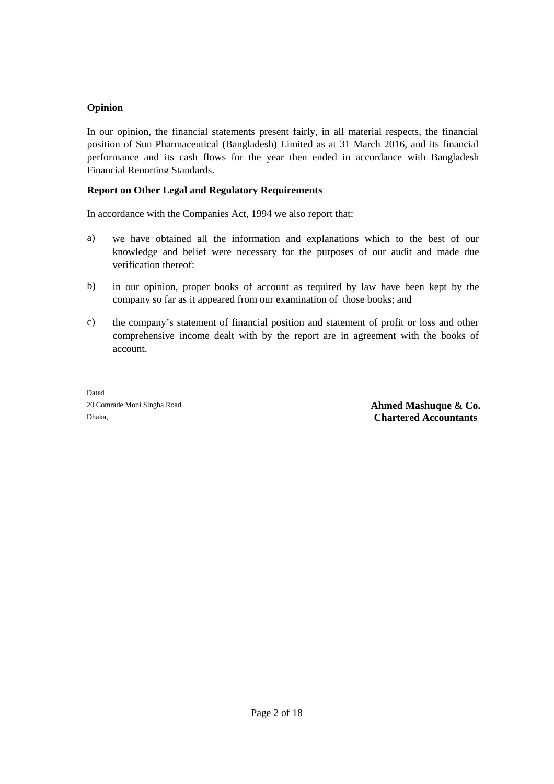### **Opinion**

In our opinion, the financial statements present fairly, in all material respects, the financial position of Sun Pharmaceutical (Bangladesh) Limited as at 31 March 2016, and its financial performance and its cash flows for the year then ended in accordance with Bangladesh Financial Reporting Standards.

## **Report on Other Legal and Regulatory Requirements**

In accordance with the Companies Act, 1994 we also report that:

- a) we have obtained all the information and explanations which to the best of our knowledge and belief were necessary for the purposes of our audit and made due verification thereof;
- b) in our opinion, proper books of account as required by law have been kept by the company so far as it appeared from our examination of those books; and
- c) the company's statement of financial position and statement of profit or loss and other comprehensive income dealt with by the report are in agreement with the books of account.

Dated

20 Comrade Moni Singha Road **Ahmed Mashuque & Co.** Dhaka, **Chartered Accountants**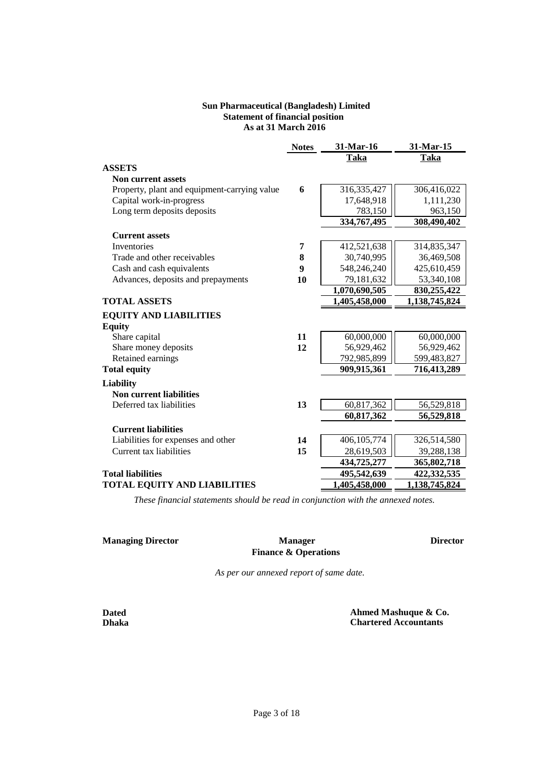### **Sun Pharmaceutical (Bangladesh) Limited As at 31 March 2016 Statement of financial position**

|                                              | <b>Notes</b> | 31-Mar-16     | 31-Mar-15     |
|----------------------------------------------|--------------|---------------|---------------|
|                                              |              | Taka          | Taka          |
| <b>ASSETS</b>                                |              |               |               |
| <b>Non current assets</b>                    |              |               |               |
| Property, plant and equipment-carrying value | 6            | 316, 335, 427 | 306,416,022   |
| Capital work-in-progress                     |              | 17,648,918    | 1,111,230     |
| Long term deposits deposits                  |              | 783,150       | 963,150       |
|                                              |              | 334,767,495   | 308,490,402   |
| <b>Current assets</b>                        |              |               |               |
| <b>Inventories</b>                           | 7            | 412,521,638   | 314,835,347   |
| Trade and other receivables                  | 8            | 30,740,995    | 36,469,508    |
| Cash and cash equivalents                    | 9            | 548,246,240   | 425,610,459   |
| Advances, deposits and prepayments           | 10           | 79,181,632    | 53,340,108    |
|                                              |              | 1,070,690,505 | 830,255,422   |
| <b>TOTAL ASSETS</b>                          |              | 1,405,458,000 | 1,138,745,824 |
| <b>EQUITY AND LIABILITIES</b>                |              |               |               |
| <b>Equity</b>                                |              |               |               |
| Share capital                                | 11           | 60,000,000    | 60,000,000    |
| Share money deposits                         | 12           | 56,929,462    | 56,929,462    |
| Retained earnings                            |              | 792,985,899   | 599,483,827   |
| <b>Total equity</b>                          |              | 909,915,361   | 716,413,289   |
| <b>Liability</b>                             |              |               |               |
| <b>Non current liabilities</b>               |              |               |               |
| Deferred tax liabilities                     | 13           | 60,817,362    | 56,529,818    |
|                                              |              | 60,817,362    | 56,529,818    |
| <b>Current liabilities</b>                   |              |               |               |
| Liabilities for expenses and other           | 14           | 406,105,774   | 326,514,580   |
| Current tax liabilities                      | 15           | 28,619,503    | 39,288,138    |
|                                              |              | 434,725,277   | 365,802,718   |
| <b>Total liabilities</b>                     |              | 495,542,639   | 422,332,535   |
| <b>TOTAL EQUITY AND LIABILITIES</b>          |              | 1,405,458,000 | 1,138,745,824 |

*These financial statements should be read in conjunction with the annexed notes.* 

### **Managing Director CONSERVING MANAGING MANAGING DIRECT Director**

### **Manager Finance & Operations**

*As per our annexed report of same date.*

**Dated Dhaka**  **Ahmed Mashuque & Co. Chartered Accountants**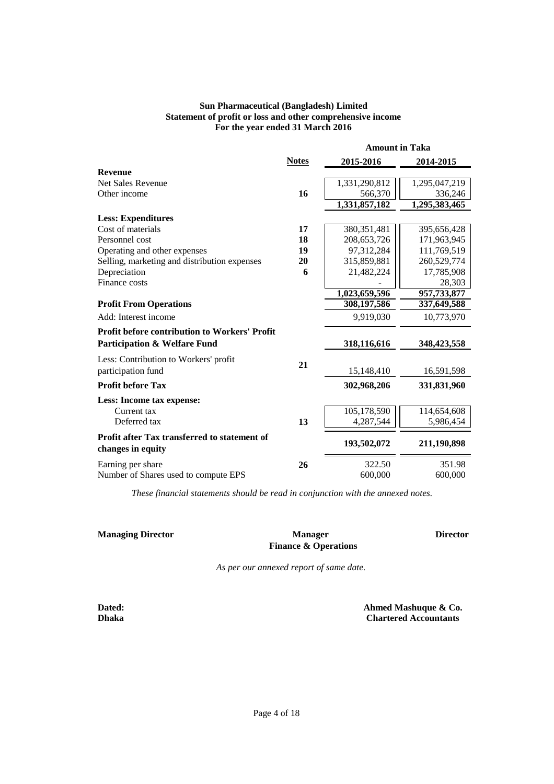### **Sun Pharmaceutical (Bangladesh) Limited Statement of profit or loss and other comprehensive income For the year ended 31 March 2016**

|                                                                   |              | <b>Amount in Taka</b> |               |  |
|-------------------------------------------------------------------|--------------|-----------------------|---------------|--|
|                                                                   | <b>Notes</b> | 2015-2016             | 2014-2015     |  |
| <b>Revenue</b>                                                    |              |                       |               |  |
| <b>Net Sales Revenue</b>                                          |              | 1,331,290,812         | 1,295,047,219 |  |
| Other income                                                      | 16           | 566,370               | 336,246       |  |
|                                                                   |              | 1,331,857,182         | 1,295,383,465 |  |
| <b>Less: Expenditures</b>                                         |              |                       |               |  |
| Cost of materials                                                 | 17           | 380, 351, 481         | 395,656,428   |  |
| Personnel cost                                                    | 18           | 208, 653, 726         | 171,963,945   |  |
| Operating and other expenses                                      | 19           | 97,312,284            | 111,769,519   |  |
| Selling, marketing and distribution expenses                      | 20           | 315,859,881           | 260,529,774   |  |
| Depreciation                                                      | 6            | 21,482,224            | 17,785,908    |  |
| Finance costs                                                     |              |                       | 28,303        |  |
|                                                                   |              | 1,023,659,596         | 957,733,877   |  |
| <b>Profit From Operations</b>                                     |              | 308,197,586           | 337,649,588   |  |
| Add: Interest income                                              |              | 9,919,030             | 10,773,970    |  |
| <b>Profit before contribution to Workers' Profit</b>              |              |                       |               |  |
| <b>Participation &amp; Welfare Fund</b>                           |              | 318,116,616           | 348, 423, 558 |  |
| Less: Contribution to Workers' profit                             |              |                       |               |  |
| participation fund                                                | 21           | 15,148,410            | 16,591,598    |  |
| <b>Profit before Tax</b>                                          |              | 302,968,206           | 331,831,960   |  |
| Less: Income tax expense:                                         |              |                       |               |  |
| Current tax                                                       |              | 105,178,590           | 114,654,608   |  |
| Deferred tax                                                      | 13           | 4,287,544             | 5,986,454     |  |
| Profit after Tax transferred to statement of<br>changes in equity |              | 193,502,072           | 211,190,898   |  |
| Earning per share                                                 | 26           | 322.50                | 351.98        |  |
| Number of Shares used to compute EPS                              |              | 600,000               | 600,000       |  |

*These financial statements should be read in conjunction with the annexed notes.*

**Managing Director Director Director Manager Finance & Operations**

*As per our annexed report of same date.*

**Dated: Dhaka**

 **Chartered Accountants Ahmed Mashuque & Co.**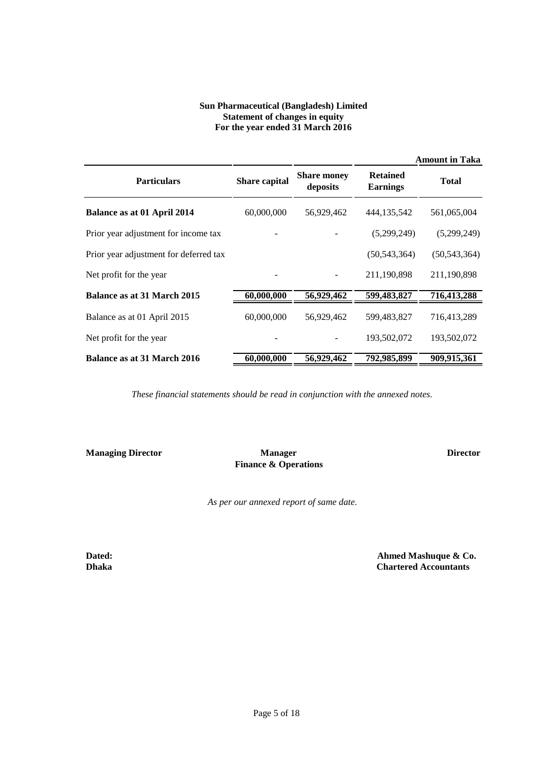### **Sun Pharmaceutical (Bangladesh) Limited Statement of changes in equity For the year ended 31 March 2016**

|                                        |                      |                                |                                    | <b>Amount in Taka</b> |
|----------------------------------------|----------------------|--------------------------------|------------------------------------|-----------------------|
| <b>Particulars</b>                     | <b>Share capital</b> | <b>Share money</b><br>deposits | <b>Retained</b><br><b>Earnings</b> | <b>Total</b>          |
| Balance as at 01 April 2014            | 60,000,000           | 56,929,462                     | 444,135,542                        | 561,065,004           |
| Prior year adjustment for income tax   |                      |                                | (5,299,249)                        | (5,299,249)           |
| Prior year adjustment for deferred tax |                      |                                | (50, 543, 364)                     | (50, 543, 364)        |
| Net profit for the year                |                      |                                | 211,190,898                        | 211,190,898           |
| Balance as at 31 March 2015            | 60,000,000           | 56,929,462                     | 599,483,827                        | 716,413,288           |
| Balance as at 01 April 2015            | 60,000,000           | 56,929,462                     | 599,483,827                        | 716,413,289           |
| Net profit for the year                |                      |                                | 193,502,072                        | 193,502,072           |
| Balance as at 31 March 2016            | 60,000,000           | 56,929,462                     | 792,985,899                        | 909,915,361           |

*These financial statements should be read in conjunction with the annexed notes.*

**Managing Director CONSERVING MANAGERS Director Director** 

 **Manager Finance & Operations**

*As per our annexed report of same date.*

**Dated: Dhaka**  **Ahmed Mashuque & Co. Chartered Accountants**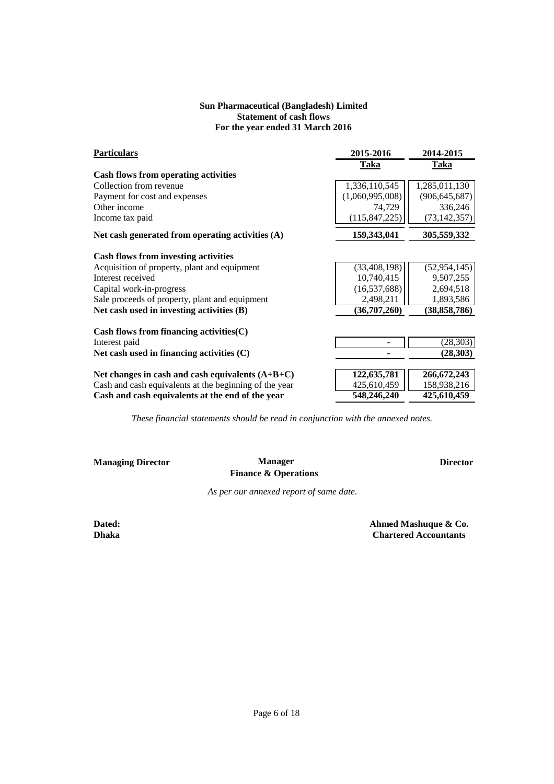### **Sun Pharmaceutical (Bangladesh) Limited Statement of cash flows For the year ended 31 March 2016**

| <b>Particulars</b>                                     | 2015-2016       | 2014-2015       |
|--------------------------------------------------------|-----------------|-----------------|
|                                                        | <b>Taka</b>     | <b>Taka</b>     |
| Cash flows from operating activities                   |                 |                 |
| Collection from revenue                                | 1,336,110,545   | 1,285,011,130   |
| Payment for cost and expenses                          | (1,060,995,008) | (906, 645, 687) |
| Other income                                           | 74,729          | 336,246         |
| Income tax paid                                        | (115, 847, 225) | (73, 142, 357)  |
| Net cash generated from operating activities $(A)$     | 159,343,041     | 305,559,332     |
| <b>Cash flows from investing activities</b>            |                 |                 |
| Acquisition of property, plant and equipment           | (33, 408, 198)  | (52, 954, 145)  |
| Interest received                                      | 10,740,415      | 9,507,255       |
| Capital work-in-progress                               | (16, 537, 688)  | 2,694,518       |
| Sale proceeds of property, plant and equipment         | 2,498,211       | 1,893,586       |
| Net cash used in investing activities (B)              | (36,707,260)    | (38, 858, 786)  |
| Cash flows from financing activities(C)                |                 |                 |
| Interest paid                                          |                 | (28, 303)       |
| Net cash used in financing activities (C)              |                 | (28, 303)       |
| Net changes in cash and cash equivalents $(A+B+C)$     | 122,635,781     | 266, 672, 243   |
| Cash and cash equivalents at the beginning of the year | 425,610,459     | 158,938,216     |
| Cash and cash equivalents at the end of the year       | 548,246,240     | 425,610,459     |

*These financial statements should be read in conjunction with the annexed notes.*

**Managing Director CONSERVING MANAGERS Director Director Manager Finance & Operations**

*As per our annexed report of same date.*

**Dated: Dhaka**  **Ahmed Mashuque & Co. Chartered Accountants**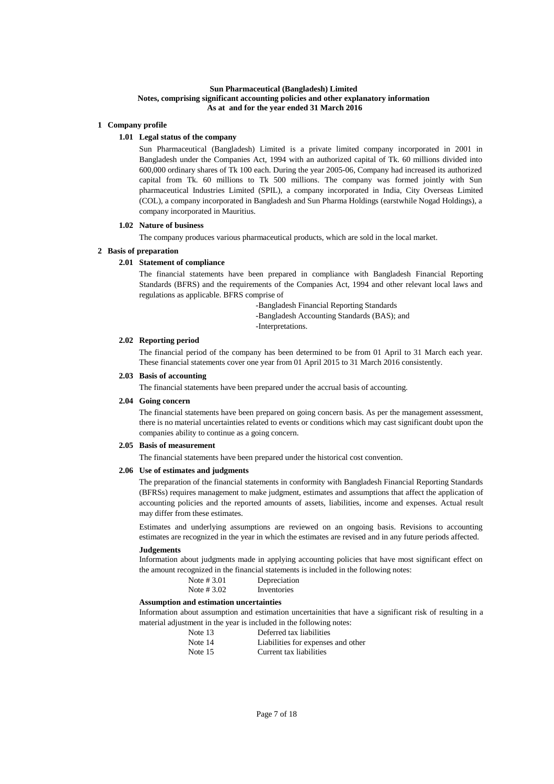#### **Sun Pharmaceutical (Bangladesh) Limited Notes, comprising significant accounting policies and other explanatory information As at and for the year ended 31 March 2016**

#### **1 Company profile**

#### **1.01 Legal status of the company**

Sun Pharmaceutical (Bangladesh) Limited is a private limited company incorporated in 2001 in Bangladesh under the Companies Act, 1994 with an authorized capital of Tk. 60 millions divided into 600,000 ordinary shares of Tk 100 each. During the year 2005-06, Company had increased its authorized capital from Tk. 60 millions to Tk 500 millions. The company was formed jointly with Sun pharmaceutical Industries Limited (SPIL), a company incorporated in India, City Overseas Limited (COL), a company incorporated in Bangladesh and Sun Pharma Holdings (earstwhile Nogad Holdings), a company incorporated in Mauritius.

#### **1.02 Nature of business**

The company produces various pharmaceutical products, which are sold in the local market.

#### **2 Basis of preparation**

#### **2.01 Statement of compliance**

The financial statements have been prepared in compliance with Bangladesh Financial Reporting Standards (BFRS) and the requirements of the Companies Act, 1994 and other relevant local laws and regulations as applicable. BFRS comprise of

-Bangladesh Financial Reporting Standards

-Bangladesh Accounting Standards (BAS); and

-Interpretations.

### **2.02 Reporting period**

The financial period of the company has been determined to be from 01 April to 31 March each year. These financial statements cover one year from 01 April 2015 to 31 March 2016 consistently.

#### **2.03 Basis of accounting**

The financial statements have been prepared under the accrual basis of accounting.

### **2.04 Going concern**

The financial statements have been prepared on going concern basis. As per the management assessment, there is no material uncertainties related to events or conditions which may cast significant doubt upon the companies ability to continue as a going concern.

#### **2.05 Basis of measurement**

The financial statements have been prepared under the historical cost convention.

#### **2.06 Use of estimates and judgments**

The preparation of the financial statements in conformity with Bangladesh Financial Reporting Standards (BFRSs) requires management to make judgment, estimates and assumptions that affect the application of accounting policies and the reported amounts of assets, liabilities, income and expenses. Actual result may differ from these estimates.

Estimates and underlying assumptions are reviewed on an ongoing basis. Revisions to accounting estimates are recognized in the year in which the estimates are revised and in any future periods affected.

#### **Judgements**

Information about judgments made in applying accounting policies that have most significant effect on the amount recognized in the financial statements is included in the following notes:

| Note $\#3.01$ | Depreciation |
|---------------|--------------|
| Note $\#3.02$ | Inventories  |

#### **Assumption and estimation uncertainties**

Information about assumption and estimation uncertainities that have a significant risk of resulting in a material adjustment in the year is included in the following notes:

| Note 13 | Deferred tax liabilities           |
|---------|------------------------------------|
| Note 14 | Liabilities for expenses and other |
| Note 15 | Current tax liabilities            |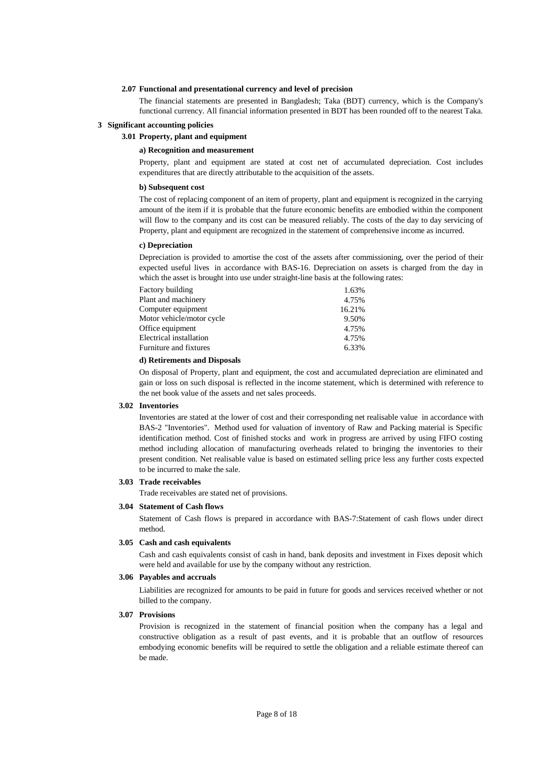#### **2.07 Functional and presentational currency and level of precision**

The financial statements are presented in Bangladesh; Taka (BDT) currency, which is the Company's functional currency. All financial information presented in BDT has been rounded off to the nearest Taka.

#### **3 Significant accounting policies**

### **3.01 Property, plant and equipment**

#### **a) Recognition and measurement**

Property, plant and equipment are stated at cost net of accumulated depreciation. Cost includes expenditures that are directly attributable to the acquisition of the assets.

#### **b) Subsequent cost**

The cost of replacing component of an item of property, plant and equipment is recognized in the carrying amount of the item if it is probable that the future economic benefits are embodied within the component will flow to the company and its cost can be measured reliably. The costs of the day to day servicing of Property, plant and equipment are recognized in the statement of comprehensive income as incurred.

#### **c) Depreciation**

Depreciation is provided to amortise the cost of the assets after commissioning, over the period of their expected useful lives in accordance with BAS-16. Depreciation on assets is charged from the day in which the asset is brought into use under straight-line basis at the following rates:

| Plant and machinery<br>Computer equipment | 4.75%  |
|-------------------------------------------|--------|
|                                           |        |
|                                           | 16.21% |
| Motor vehicle/motor cycle                 | 9.50%  |
| Office equipment                          | 4.75%  |
| Electrical installation                   | 4.75%  |
| Furniture and fixtures                    | 6.33%  |

#### **d) Retirements and Disposals**

On disposal of Property, plant and equipment, the cost and accumulated depreciation are eliminated and gain or loss on such disposal is reflected in the income statement, which is determined with reference to the net book value of the assets and net sales proceeds.

#### **3.02 Inventories**

Inventories are stated at the lower of cost and their corresponding net realisable value in accordance with BAS-2 "Inventories". Method used for valuation of inventory of Raw and Packing material is Specific identification method. Cost of finished stocks and work in progress are arrived by using FIFO costing method including allocation of manufacturing overheads related to bringing the inventories to their present condition. Net realisable value is based on estimated selling price less any further costs expected to be incurred to make the sale.

#### **3.03 Trade receivables**

Trade receivables are stated net of provisions.

#### **3.04 Statement of Cash flows**

Statement of Cash flows is prepared in accordance with BAS-7:Statement of cash flows under direct method.

#### **3.05 Cash and cash equivalents**

Cash and cash equivalents consist of cash in hand, bank deposits and investment in Fixes deposit which were held and available for use by the company without any restriction.

#### **3.06 Payables and accruals**

Liabilities are recognized for amounts to be paid in future for goods and services received whether or not billed to the company.

#### **3.07 Provisions**

Provision is recognized in the statement of financial position when the company has a legal and constructive obligation as a result of past events, and it is probable that an outflow of resources embodying economic benefits will be required to settle the obligation and a reliable estimate thereof can be made.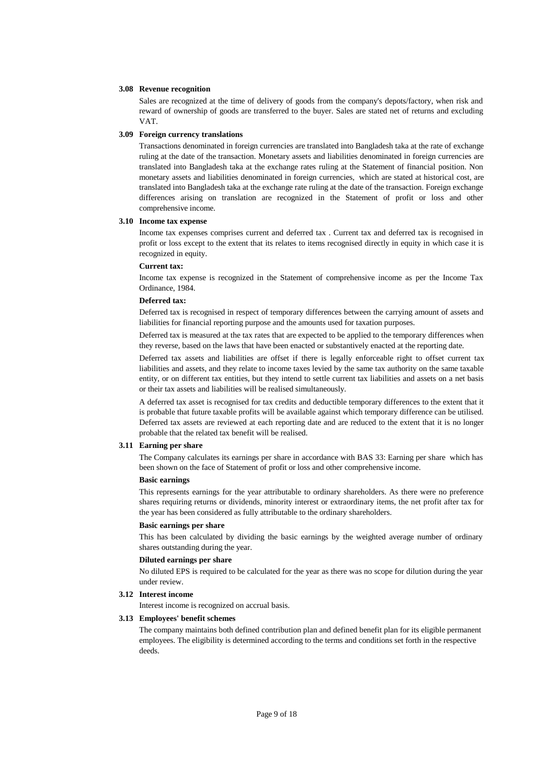#### **3.08 Revenue recognition**

Sales are recognized at the time of delivery of goods from the company's depots/factory, when risk and reward of ownership of goods are transferred to the buyer. Sales are stated net of returns and excluding VAT.

#### **3.09 Foreign currency translations**

Transactions denominated in foreign currencies are translated into Bangladesh taka at the rate of exchange ruling at the date of the transaction. Monetary assets and liabilities denominated in foreign currencies are translated into Bangladesh taka at the exchange rates ruling at the Statement of financial position. Non monetary assets and liabilities denominated in foreign currencies, which are stated at historical cost, are translated into Bangladesh taka at the exchange rate ruling at the date of the transaction. Foreign exchange differences arising on translation are recognized in the Statement of profit or loss and other comprehensive income.

#### **3.10 Income tax expense**

Income tax expenses comprises current and deferred tax . Current tax and deferred tax is recognised in profit or loss except to the extent that its relates to items recognised directly in equity in which case it is recognized in equity.

#### **Current tax:**

Income tax expense is recognized in the Statement of comprehensive income as per the Income Tax Ordinance, 1984.

#### **Deferred tax:**

Deferred tax is recognised in respect of temporary differences between the carrying amount of assets and liabilities for financial reporting purpose and the amounts used for taxation purposes.

Deferred tax is measured at the tax rates that are expected to be applied to the temporary differences when they reverse, based on the laws that have been enacted or substantively enacted at the reporting date.

Deferred tax assets and liabilities are offset if there is legally enforceable right to offset current tax liabilities and assets, and they relate to income taxes levied by the same tax authority on the same taxable entity, or on different tax entities, but they intend to settle current tax liabilities and assets on a net basis or their tax assets and liabilities will be realised simultaneously.

A deferred tax asset is recognised for tax credits and deductible temporary differences to the extent that it is probable that future taxable profits will be available against which temporary difference can be utilised. Deferred tax assets are reviewed at each reporting date and are reduced to the extent that it is no longer probable that the related tax benefit will be realised.

#### **3.11 Earning per share**

The Company calculates its earnings per share in accordance with BAS 33: Earning per share which has been shown on the face of Statement of profit or loss and other comprehensive income.

#### **Basic earnings**

This represents earnings for the year attributable to ordinary shareholders. As there were no preference shares requiring returns or dividends, minority interest or extraordinary items, the net profit after tax for the year has been considered as fully attributable to the ordinary shareholders.

#### **Basic earnings per share**

This has been calculated by dividing the basic earnings by the weighted average number of ordinary shares outstanding during the year.

#### **Diluted earnings per share**

No diluted EPS is required to be calculated for the year as there was no scope for dilution during the year under review.

#### **3.12 Interest income**

Interest income is recognized on accrual basis.

#### **3.13 Employees' benefit schemes**

The company maintains both defined contribution plan and defined benefit plan for its eligible permanent employees. The eligibility is determined according to the terms and conditions set forth in the respective deeds.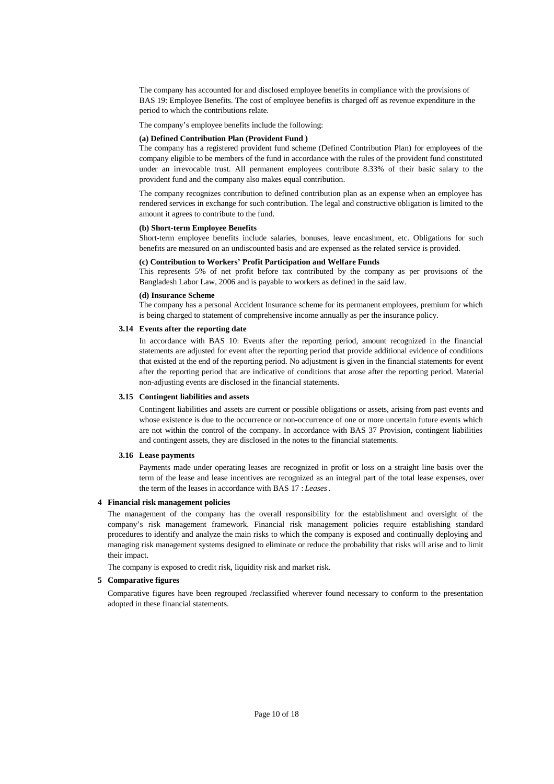The company has accounted for and disclosed employee benefits in compliance with the provisions of BAS 19: Employee Benefits. The cost of employee benefits is charged off as revenue expenditure in the period to which the contributions relate.

The company's employee benefits include the following:

#### **(a) Defined Contribution Plan (Provident Fund )**

The company has a registered provident fund scheme (Defined Contribution Plan) for employees of the company eligible to be members of the fund in accordance with the rules of the provident fund constituted under an irrevocable trust. All permanent employees contribute 8.33% of their basic salary to the provident fund and the company also makes equal contribution.

The company recognizes contribution to defined contribution plan as an expense when an employee has rendered services in exchange for such contribution. The legal and constructive obligation is limited to the amount it agrees to contribute to the fund.

#### **(b) Short-term Employee Benefits**

Short-term employee benefits include salaries, bonuses, leave encashment, etc. Obligations for such benefits are measured on an undiscounted basis and are expensed as the related service is provided.

#### **(c) Contribution to Workers' Profit Participation and Welfare Funds**

This represents 5% of net profit before tax contributed by the company as per provisions of the Bangladesh Labor Law, 2006 and is payable to workers as defined in the said law.

#### **(d) Insurance Scheme**

The company has a personal Accident Insurance scheme for its permanent employees, premium for which is being charged to statement of comprehensive income annually as per the insurance policy.

#### **3.14 Events after the reporting date**

In accordance with BAS 10: Events after the reporting period, amount recognized in the financial statements are adjusted for event after the reporting period that provide additional evidence of conditions that existed at the end of the reporting period. No adjustment is given in the financial statements for event after the reporting period that are indicative of conditions that arose after the reporting period. Material non-adjusting events are disclosed in the financial statements.

#### **3.15 Contingent liabilities and assets**

Contingent liabilities and assets are current or possible obligations or assets, arising from past events and whose existence is due to the occurrence or non-occurrence of one or more uncertain future events which are not within the control of the company. In accordance with BAS 37 Provision, contingent liabilities and contingent assets, they are disclosed in the notes to the financial statements.

#### **3.16 Lease payments**

Payments made under operating leases are recognized in profit or loss on a straight line basis over the term of the lease and lease incentives are recognized as an integral part of the total lease expenses, over the term of the leases in accordance with BAS 17 : *Leases*.

#### **4 Financial risk management policies**

The management of the company has the overall responsibility for the establishment and oversight of the company's risk management framework. Financial risk management policies require establishing standard procedures to identify and analyze the main risks to which the company is exposed and continually deploying and managing risk management systems designed to eliminate or reduce the probability that risks will arise and to limit their impact.

The company is exposed to credit risk, liquidity risk and market risk.

#### **5 Comparative figures**

Comparative figures have been regrouped /reclassified wherever found necessary to conform to the presentation adopted in these financial statements.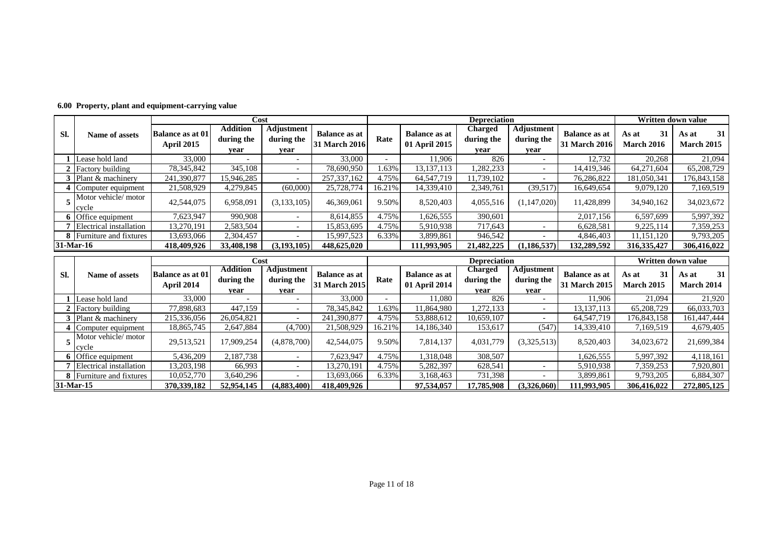|           |                                 |                                                                                                                                                                                                                                               | Cost       |                                  |                                       |                                  | <b>Depreciation</b>              |            |                          |             | Written down value |             |
|-----------|---------------------------------|-----------------------------------------------------------------------------------------------------------------------------------------------------------------------------------------------------------------------------------------------|------------|----------------------------------|---------------------------------------|----------------------------------|----------------------------------|------------|--------------------------|-------------|--------------------|-------------|
| SI.       | Name of assets                  | <b>Adjustment</b><br><b>Addition</b><br>Charged<br><b>Balance as at</b><br><b>Balance as at</b><br><b>Balance as at 01</b><br>Rate<br>during the<br>during the<br>01 April 2015<br>31 March 2016<br><b>April 2015</b><br>vear<br>vear<br>vear | during the | Adjustment<br>during the<br>vear | <b>Balance as at</b><br>31 March 2016 | 31<br>As at<br><b>March 2016</b> | 31<br>As at<br><b>March 2015</b> |            |                          |             |                    |             |
|           | Lease hold land                 | 33,000                                                                                                                                                                                                                                        |            |                                  | 33,000                                |                                  | 11.906                           | 826        |                          | 12,732      | 20,268             | 21,094      |
|           | 2 Factory building              | 78,345,842                                                                                                                                                                                                                                    | 345,108    |                                  | 78,690,950                            | . . 63%                          | 13, 137, 113                     | ,282,233   | $\overline{\phantom{0}}$ | 14,419,346  | 64,271,604         | 65,208,729  |
|           | Plant & machinery               | 241,390,877                                                                                                                                                                                                                                   | 15.946.285 |                                  | 257, 337, 162                         | 4.75%                            | 64, 547, 719                     | 11.739.102 | $\overline{\phantom{0}}$ | 76,286,822  | 181,050,341        | 176,843,158 |
|           | Computer equipment              | 21,508,929                                                                                                                                                                                                                                    | 4,279,845  | (60,000)                         | 25,728,774                            | 16.21%                           | 14,339,410                       | 2,349,761  | (39, 517)                | 16,649,654  | 9,079,120          | 7,169,519   |
|           | Motor vehicle/motor<br>cycle    | 42,544,075                                                                                                                                                                                                                                    | 6,958,091  | (3, 133, 105)                    | 46,369,061                            | 9.50%                            | 8,520,403                        | 4,055,516  | (1, 147, 020)            | 11,428,899  | 34,940,162         | 34,023,672  |
|           | 6 Office equipment              | 7,623,947                                                                                                                                                                                                                                     | 990,908    |                                  | 8,614,855                             | 4.75%                            | 1,626,555                        | 390,601    |                          | 2,017,156   | 6,597,699          | 5,997,392   |
|           | Electrical installation         | 13,270,191                                                                                                                                                                                                                                    | 2,583,504  |                                  | 15,853,695                            | 4.75%                            | 5,910,938                        | 717.643    |                          | 6,628,581   | 9,225,114          | 7,359,253   |
|           | <b>8</b> Furniture and fixtures | 13,693,066                                                                                                                                                                                                                                    | 2,304,457  | $\sim$                           | 15,997,523                            | 6.33%                            | 3,899,861                        | 946,542    | $\overline{\phantom{0}}$ | 4,846,403   | 11,151,120         | 9,793,205   |
| 31-Mar-16 |                                 | 418,409,926                                                                                                                                                                                                                                   | 33,408,198 | (3, 193, 105)                    | 448,625,020                           |                                  | 111,993,905                      | 21,482,225 | (1, 186, 537)            | 132,289,592 | 316, 335, 427      | 306,416,022 |

**6.00 Property, plant and equipment-carrying value**

|           |                                  |                                       | Cost<br><b>Depreciation</b>           |                                    |                                       |        |                                       |                               |                                         | Written down value                    |                                  |                           |
|-----------|----------------------------------|---------------------------------------|---------------------------------------|------------------------------------|---------------------------------------|--------|---------------------------------------|-------------------------------|-----------------------------------------|---------------------------------------|----------------------------------|---------------------------|
| SI.       | Name of assets                   | <b>Balance as at 01</b><br>April 2014 | <b>Addition</b><br>during the<br>vear | Adjustment  <br>during the<br>vear | <b>Balance as at</b><br>31 March 2015 | Rate   | <b>Balance as at</b><br>01 April 2014 | Charged<br>during the<br>vear | <b>Adjustment</b><br>during the<br>vear | <b>Balance as at</b><br>31 March 2015 | 31<br>As at<br><b>March 2015</b> | 31<br>As at<br>March 2014 |
|           | Lease hold land                  | 33,000                                |                                       |                                    | 33,000                                |        | 11.080                                | 826                           |                                         | 1.906                                 | 21,094                           | 21,920                    |
|           | <b>Factory building</b>          | 77,898,683                            | 447,159                               |                                    | 78,345,842                            | .63%   | 1,864,980                             | 1,272,133                     |                                         | 13, 137, 113                          | 65,208,729                       | 66,033,703                |
|           | $\blacksquare$ Plant & machinery | 215,336,056                           | 26,054,821                            |                                    | 241,390,877                           | 4.75%  | 53,888,612                            | 10,659,107                    | $\overline{\phantom{0}}$                | 64, 547, 719                          | 176,843,158                      | 161,447,444               |
|           | Computer equipment               | 18,865,745                            | 2,647,884                             | (4,700)                            | 21,508,929                            | 16.21% | 14,186,340                            | 153,617                       | (547)                                   | 14,339,410                            | 7,169,519                        | 4,679,405                 |
|           | Motor vehicle/motor<br>cycle     | 29,513,521                            | 17.909.254                            | (4,878,700)                        | 42,544,075                            | 9.50%  | 7,814,137                             | 4,031,779                     | (3,325,513)                             | 8,520,403                             | 34,023,672                       | 21,699,384                |
|           | <b>6</b> Office equipment        | 5,436,209                             | 2.187.738                             |                                    | 7,623,947                             | 4.75%  | 1,318,048                             | 308,507                       |                                         | 1,626,555                             | 5,997,392                        | 4,118,161                 |
|           | Electrical installation          | 13,203,198                            | 66.993                                |                                    | 13.270.191                            | 4.75%  | 5,282,397                             | 628,541                       | $\overline{\phantom{0}}$                | 5,910,938                             | 7,359,253                        | 7,920,801                 |
|           | <b>8</b> Furniture and fixtures  | 10,052,770                            | 3,640,296                             |                                    | 13,693,066                            | 6.33%  | 3,168,463                             | 731,398                       | $\overline{\phantom{0}}$                | 3,899,861                             | 9,793,205                        | 6,884,307                 |
| 31-Mar-15 |                                  | 370, 339, 182                         | 52,954,145                            | (4,883,400)                        | 418,409,926                           |        | 97,534,057                            | 17,785,908                    | (3,326,060)                             | 111,993,905                           | 306,416,022                      | 272,805,125               |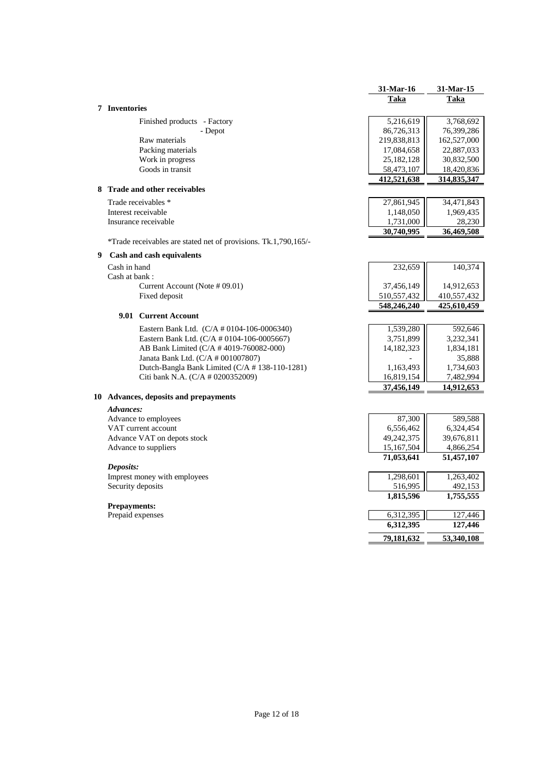|                      |                                                                 | 31-Mar-16              | 31-Mar-15          |
|----------------------|-----------------------------------------------------------------|------------------------|--------------------|
|                      |                                                                 | Taka                   | Taka               |
| <b>7</b> Inventories |                                                                 |                        |                    |
|                      | Finished products - Factory                                     | 5,216,619              | 3,768,692          |
|                      | - Depot                                                         | 86,726,313             | 76,399,286         |
|                      | Raw materials                                                   | 219,838,813            | 162,527,000        |
|                      | Packing materials                                               | 17,084,658             | 22,887,033         |
|                      | Work in progress                                                | 25, 182, 128           | 30,832,500         |
|                      | Goods in transit                                                | 58,473,107             | 18,420,836         |
|                      |                                                                 | 412,521,638            | 314,835,347        |
|                      | 8 Trade and other receivables                                   |                        |                    |
|                      | Trade receivables *                                             | 27,861,945             | 34,471,843         |
|                      | Interest receivable                                             | 1,148,050              | 1,969,435          |
|                      | Insurance receivable                                            | 1,731,000              | 28,230             |
|                      |                                                                 | 30,740,995             | 36,469,508         |
|                      | *Trade receivables are stated net of provisions. Tk.1,790,165/- |                        |                    |
| 9                    | Cash and cash equivalents                                       |                        |                    |
|                      | Cash in hand                                                    | 232,659                | 140,374            |
|                      | Cash at bank:                                                   |                        |                    |
|                      | Current Account (Note # 09.01)                                  | 37,456,149             | 14,912,653         |
|                      | Fixed deposit                                                   | 510, 557, 432          | 410,557,432        |
|                      |                                                                 | 548,246,240            | 425,610,459        |
|                      | 9.01 Current Account                                            |                        |                    |
|                      | Eastern Bank Ltd. (C/A # 0104-106-0006340)                      | 1,539,280              | 592,646            |
|                      | Eastern Bank Ltd. (C/A # 0104-106-0005667)                      | 3,751,899              | 3,232,341          |
|                      | AB Bank Limited (C/A # 4019-760082-000)                         | 14, 182, 323           | 1,834,181          |
|                      | Janata Bank Ltd. (C/A # 001007807)                              |                        | 35,888             |
|                      | Dutch-Bangla Bank Limited (C/A #138-110-1281)                   | 1,163,493              | 1,734,603          |
|                      | Citi bank N.A. (C/A # 0200352009)                               | 16,819,154             | 7,482,994          |
|                      |                                                                 | 37,456,149             | 14,912,653         |
|                      | 10 Advances, deposits and prepayments                           |                        |                    |
|                      | Advances:                                                       |                        |                    |
|                      | Advance to employees                                            | 87,300                 | 589,588            |
|                      | VAT current account                                             | 6,556,462              | 6,324,454          |
|                      | Advance VAT on depots stock                                     | 49,242,375             | 39,676,811         |
|                      | Advance to suppliers                                            | 15,167,504             | 4,866,254          |
|                      |                                                                 | 71,053,641             | 51,457,107         |
| Deposits:            |                                                                 |                        |                    |
|                      | Imprest money with employees                                    | 1,298,601              | 1,263,402          |
|                      | Security deposits                                               | 516,995                | 492,153            |
|                      |                                                                 | 1,815,596              | 1,755,555          |
|                      | <b>Prepayments:</b>                                             |                        |                    |
|                      | Prepaid expenses                                                | 6,312,395<br>6,312,395 | 127,446<br>127,446 |
|                      |                                                                 |                        |                    |
|                      |                                                                 | 79,181,632             | 53,340,108         |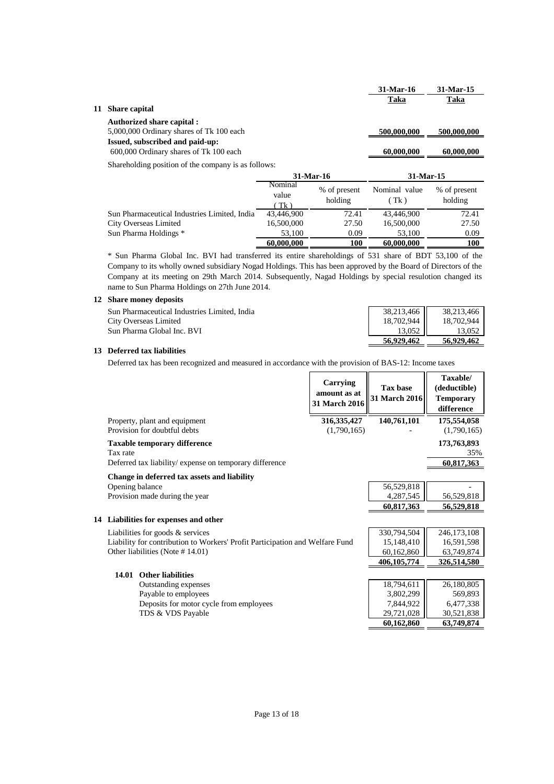|    |                                                     | 31-Mar-16   | 31-Mar-15   |
|----|-----------------------------------------------------|-------------|-------------|
|    |                                                     | Taka        | Taka        |
| 11 | <b>Share capital</b>                                |             |             |
|    | <b>Authorized share capital:</b>                    |             |             |
|    | 5,000,000 Ordinary shares of Tk 100 each            | 500,000,000 | 500,000,000 |
|    | Issued, subscribed and paid-up:                     |             |             |
|    | 600,000 Ordinary shares of Tk 100 each              | 60,000,000  | 60,000,000  |
|    | Shareholding position of the company is as follows: |             |             |

|                                              | 31-Mar-16               |                         | 31-Mar-15             |                         |
|----------------------------------------------|-------------------------|-------------------------|-----------------------|-------------------------|
|                                              | Nominal<br>value<br>Tk) | % of present<br>holding | Nominal value<br>(Tk) | % of present<br>holding |
| Sun Pharmaceutical Industries Limited, India | 43,446,900              | 72.41                   | 43,446,900            | 72.41                   |
| City Overseas Limited                        | 16,500,000              | 27.50                   | 16,500,000            | 27.50                   |
| Sun Pharma Holdings *                        | 53,100                  | 0.09                    | 53,100                | 0.09                    |
|                                              | 60,000,000              | 100                     | 60,000,000            | 100                     |

\* Sun Pharma Global Inc. BVI had transferred its entire shareholdings of 531 share of BDT 53,100 of the Company to its wholly owned subsidiary Nogad Holdings. This has been approved by the Board of Directors of the Company at its meeting on 29th March 2014. Subsequently, Nagad Holdings by special resulotion changed its name to Sun Pharma Holdings on 27th June 2014.

### **12 Share money deposits**

|                                              | 56,929,462 | 56.929.462 |
|----------------------------------------------|------------|------------|
| Sun Pharma Global Inc. BVI                   | 13.052     | 13.052     |
| City Overseas Limited                        | 18,702,944 | 18.702.944 |
| Sun Pharmaceutical Industries Limited. India | 38,213,466 | 38.213.466 |
|                                              |            |            |

### **13 Deferred tax liabilities**

Deferred tax has been recognized and measured in accordance with the provision of BAS-12: Income taxes

|                                                                              | Carrying<br>amount as at<br>31 March 2016 | Tax base<br><b>31 March 2016</b> | Taxable/<br>(deductible)<br><b>Temporary</b><br>difference |
|------------------------------------------------------------------------------|-------------------------------------------|----------------------------------|------------------------------------------------------------|
| Property, plant and equipment<br>Provision for doubtful debts                | 316, 335, 427<br>(1,790,165)              | 140,761,101                      | 175,554,058<br>(1,790,165)                                 |
|                                                                              |                                           |                                  |                                                            |
| <b>Taxable temporary difference</b><br>Tax rate                              |                                           |                                  | 173,763,893                                                |
| Deferred tax liability/expense on temporary difference                       |                                           |                                  | 35%<br>60,817,363                                          |
|                                                                              |                                           |                                  |                                                            |
| Change in deferred tax assets and liability                                  |                                           |                                  |                                                            |
| Opening balance<br>Provision made during the year                            |                                           | 56,529,818<br>4,287,545          | 56,529,818                                                 |
|                                                                              |                                           | 60,817,363                       | 56,529,818                                                 |
|                                                                              |                                           |                                  |                                                            |
| 14 Liabilities for expenses and other                                        |                                           |                                  |                                                            |
| Liabilities for goods $\&$ services                                          |                                           | 330,794,504                      | 246, 173, 108                                              |
| Liability for contribution to Workers' Profit Participation and Welfare Fund |                                           | 15,148,410                       | 16,591,598                                                 |
| Other liabilities (Note #14.01)                                              |                                           | 60,162,860                       | 63,749,874                                                 |
|                                                                              |                                           | 406,105,774                      | 326,514,580                                                |
| 14.01<br><b>Other liabilities</b>                                            |                                           |                                  |                                                            |
| Outstanding expenses                                                         |                                           | 18,794,611                       | 26,180,805                                                 |
| Payable to employees                                                         |                                           | 3,802,299                        | 569,893                                                    |
| Deposits for motor cycle from employees                                      |                                           | 7,844,922                        | 6,477,338                                                  |
| TDS & VDS Payable                                                            |                                           | 29,721,028                       | 30,521,838                                                 |
|                                                                              |                                           | 60,162,860                       | 63,749,874                                                 |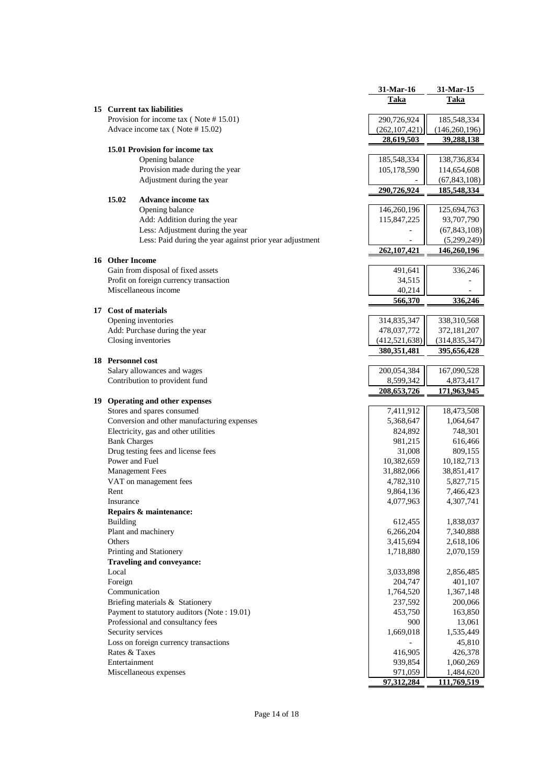| Taka<br>Taka<br>15 Current tax liabilities<br>Provision for income tax $( Note # 15.01)$<br>290,726,924<br>185,548,334<br>Advace income tax (Note #15.02)<br>(262, 107, 421)<br>(146,260,196)<br>28,619,503<br>39,288,138<br>15.01 Provision for income tax<br>Opening balance<br>185,548,334<br>138,736,834<br>Provision made during the year<br>105,178,590<br>114,654,608<br>Adjustment during the year<br>(67, 843, 108)<br>290,726,924<br>185,548,334<br>15.02<br><b>Advance income tax</b><br>Opening balance<br>146,260,196<br>125,694,763<br>Add: Addition during the year<br>115,847,225<br>93,707,790<br>Less: Adjustment during the year<br>(67, 843, 108)<br>Less: Paid during the year against prior year adjustment<br>(5,299,249)<br>262,107,421<br>146,260,196<br>16 Other Income<br>Gain from disposal of fixed assets<br>336,246<br>491,641<br>Profit on foreign currency transaction<br>34,515<br>Miscellaneous income<br>40,214<br>566,370<br>336,246<br>17 Cost of materials<br>Opening inventories<br>314,835,347<br>338,310,568<br>Add: Purchase during the year<br>478,037,772<br>372,181,207<br>Closing inventories<br>(412, 521, 638)<br>(314, 835, 347)<br>380, 351, 481<br>395,656,428<br><b>18</b> Personnel cost<br>Salary allowances and wages<br>200,054,384<br>167,090,528<br>Contribution to provident fund<br>8,599,342<br>4,873,417<br>208, 653, 726<br>171,963,945<br>19 Operating and other expenses<br>Stores and spares consumed<br>7,411,912<br>18,473,508<br>Conversion and other manufacturing expenses<br>5,368,647<br>1,064,647<br>Electricity, gas and other utilities<br>824,892<br>748,301<br><b>Bank Charges</b><br>981,215<br>616,466<br>Drug testing fees and license fees<br>31,008<br>809,155<br>Power and Fuel<br>10,382,659<br>10,182,713<br><b>Management Fees</b><br>31,882,066<br>38,851,417<br>VAT on management fees<br>4,782,310<br>5,827,715<br>9,864,136<br>Rent<br>7,466,423<br>4,077,963<br>4,307,741<br>Insurance<br>Repairs & maintenance:<br>612,455<br>1,838,037<br><b>Building</b><br>Plant and machinery<br>6,266,204<br>7,340,888<br>Others<br>3,415,694<br>2,618,106<br>Printing and Stationery<br>1,718,880<br>2,070,159<br><b>Traveling and conveyance:</b><br>Local<br>3,033,898<br>2,856,485<br>Foreign<br>204,747<br>401,107<br>Communication<br>1,764,520<br>1,367,148<br>Briefing materials & Stationery<br>237,592<br>200,066<br>Payment to statutory auditors (Note: 19.01)<br>453,750<br>163,850<br>Professional and consultancy fees<br>900<br>13,061<br>Security services<br>1,669,018<br>1,535,449<br>Loss on foreign currency transactions<br>45,810<br>Rates & Taxes<br>416,905<br>426,378<br>Entertainment<br>939,854<br>1,060,269<br>Miscellaneous expenses<br>971,059<br>1,484,620<br>97,312,284<br><u>111,769,519 </u> |  | 31-Mar-16 | 31-Mar-15 |
|--------------------------------------------------------------------------------------------------------------------------------------------------------------------------------------------------------------------------------------------------------------------------------------------------------------------------------------------------------------------------------------------------------------------------------------------------------------------------------------------------------------------------------------------------------------------------------------------------------------------------------------------------------------------------------------------------------------------------------------------------------------------------------------------------------------------------------------------------------------------------------------------------------------------------------------------------------------------------------------------------------------------------------------------------------------------------------------------------------------------------------------------------------------------------------------------------------------------------------------------------------------------------------------------------------------------------------------------------------------------------------------------------------------------------------------------------------------------------------------------------------------------------------------------------------------------------------------------------------------------------------------------------------------------------------------------------------------------------------------------------------------------------------------------------------------------------------------------------------------------------------------------------------------------------------------------------------------------------------------------------------------------------------------------------------------------------------------------------------------------------------------------------------------------------------------------------------------------------------------------------------------------------------------------------------------------------------------------------------------------------------------------------------------------------------------------------------------------------------------------------------------------------------------------------------------------------------------------------------------------------------------------------------------------------------------------------------------------------------------------------------------------------------------------------------------------|--|-----------|-----------|
|                                                                                                                                                                                                                                                                                                                                                                                                                                                                                                                                                                                                                                                                                                                                                                                                                                                                                                                                                                                                                                                                                                                                                                                                                                                                                                                                                                                                                                                                                                                                                                                                                                                                                                                                                                                                                                                                                                                                                                                                                                                                                                                                                                                                                                                                                                                                                                                                                                                                                                                                                                                                                                                                                                                                                                                                                    |  |           |           |
|                                                                                                                                                                                                                                                                                                                                                                                                                                                                                                                                                                                                                                                                                                                                                                                                                                                                                                                                                                                                                                                                                                                                                                                                                                                                                                                                                                                                                                                                                                                                                                                                                                                                                                                                                                                                                                                                                                                                                                                                                                                                                                                                                                                                                                                                                                                                                                                                                                                                                                                                                                                                                                                                                                                                                                                                                    |  |           |           |
|                                                                                                                                                                                                                                                                                                                                                                                                                                                                                                                                                                                                                                                                                                                                                                                                                                                                                                                                                                                                                                                                                                                                                                                                                                                                                                                                                                                                                                                                                                                                                                                                                                                                                                                                                                                                                                                                                                                                                                                                                                                                                                                                                                                                                                                                                                                                                                                                                                                                                                                                                                                                                                                                                                                                                                                                                    |  |           |           |
|                                                                                                                                                                                                                                                                                                                                                                                                                                                                                                                                                                                                                                                                                                                                                                                                                                                                                                                                                                                                                                                                                                                                                                                                                                                                                                                                                                                                                                                                                                                                                                                                                                                                                                                                                                                                                                                                                                                                                                                                                                                                                                                                                                                                                                                                                                                                                                                                                                                                                                                                                                                                                                                                                                                                                                                                                    |  |           |           |
|                                                                                                                                                                                                                                                                                                                                                                                                                                                                                                                                                                                                                                                                                                                                                                                                                                                                                                                                                                                                                                                                                                                                                                                                                                                                                                                                                                                                                                                                                                                                                                                                                                                                                                                                                                                                                                                                                                                                                                                                                                                                                                                                                                                                                                                                                                                                                                                                                                                                                                                                                                                                                                                                                                                                                                                                                    |  |           |           |
|                                                                                                                                                                                                                                                                                                                                                                                                                                                                                                                                                                                                                                                                                                                                                                                                                                                                                                                                                                                                                                                                                                                                                                                                                                                                                                                                                                                                                                                                                                                                                                                                                                                                                                                                                                                                                                                                                                                                                                                                                                                                                                                                                                                                                                                                                                                                                                                                                                                                                                                                                                                                                                                                                                                                                                                                                    |  |           |           |
|                                                                                                                                                                                                                                                                                                                                                                                                                                                                                                                                                                                                                                                                                                                                                                                                                                                                                                                                                                                                                                                                                                                                                                                                                                                                                                                                                                                                                                                                                                                                                                                                                                                                                                                                                                                                                                                                                                                                                                                                                                                                                                                                                                                                                                                                                                                                                                                                                                                                                                                                                                                                                                                                                                                                                                                                                    |  |           |           |
|                                                                                                                                                                                                                                                                                                                                                                                                                                                                                                                                                                                                                                                                                                                                                                                                                                                                                                                                                                                                                                                                                                                                                                                                                                                                                                                                                                                                                                                                                                                                                                                                                                                                                                                                                                                                                                                                                                                                                                                                                                                                                                                                                                                                                                                                                                                                                                                                                                                                                                                                                                                                                                                                                                                                                                                                                    |  |           |           |
|                                                                                                                                                                                                                                                                                                                                                                                                                                                                                                                                                                                                                                                                                                                                                                                                                                                                                                                                                                                                                                                                                                                                                                                                                                                                                                                                                                                                                                                                                                                                                                                                                                                                                                                                                                                                                                                                                                                                                                                                                                                                                                                                                                                                                                                                                                                                                                                                                                                                                                                                                                                                                                                                                                                                                                                                                    |  |           |           |
|                                                                                                                                                                                                                                                                                                                                                                                                                                                                                                                                                                                                                                                                                                                                                                                                                                                                                                                                                                                                                                                                                                                                                                                                                                                                                                                                                                                                                                                                                                                                                                                                                                                                                                                                                                                                                                                                                                                                                                                                                                                                                                                                                                                                                                                                                                                                                                                                                                                                                                                                                                                                                                                                                                                                                                                                                    |  |           |           |
|                                                                                                                                                                                                                                                                                                                                                                                                                                                                                                                                                                                                                                                                                                                                                                                                                                                                                                                                                                                                                                                                                                                                                                                                                                                                                                                                                                                                                                                                                                                                                                                                                                                                                                                                                                                                                                                                                                                                                                                                                                                                                                                                                                                                                                                                                                                                                                                                                                                                                                                                                                                                                                                                                                                                                                                                                    |  |           |           |
|                                                                                                                                                                                                                                                                                                                                                                                                                                                                                                                                                                                                                                                                                                                                                                                                                                                                                                                                                                                                                                                                                                                                                                                                                                                                                                                                                                                                                                                                                                                                                                                                                                                                                                                                                                                                                                                                                                                                                                                                                                                                                                                                                                                                                                                                                                                                                                                                                                                                                                                                                                                                                                                                                                                                                                                                                    |  |           |           |
|                                                                                                                                                                                                                                                                                                                                                                                                                                                                                                                                                                                                                                                                                                                                                                                                                                                                                                                                                                                                                                                                                                                                                                                                                                                                                                                                                                                                                                                                                                                                                                                                                                                                                                                                                                                                                                                                                                                                                                                                                                                                                                                                                                                                                                                                                                                                                                                                                                                                                                                                                                                                                                                                                                                                                                                                                    |  |           |           |
|                                                                                                                                                                                                                                                                                                                                                                                                                                                                                                                                                                                                                                                                                                                                                                                                                                                                                                                                                                                                                                                                                                                                                                                                                                                                                                                                                                                                                                                                                                                                                                                                                                                                                                                                                                                                                                                                                                                                                                                                                                                                                                                                                                                                                                                                                                                                                                                                                                                                                                                                                                                                                                                                                                                                                                                                                    |  |           |           |
|                                                                                                                                                                                                                                                                                                                                                                                                                                                                                                                                                                                                                                                                                                                                                                                                                                                                                                                                                                                                                                                                                                                                                                                                                                                                                                                                                                                                                                                                                                                                                                                                                                                                                                                                                                                                                                                                                                                                                                                                                                                                                                                                                                                                                                                                                                                                                                                                                                                                                                                                                                                                                                                                                                                                                                                                                    |  |           |           |
|                                                                                                                                                                                                                                                                                                                                                                                                                                                                                                                                                                                                                                                                                                                                                                                                                                                                                                                                                                                                                                                                                                                                                                                                                                                                                                                                                                                                                                                                                                                                                                                                                                                                                                                                                                                                                                                                                                                                                                                                                                                                                                                                                                                                                                                                                                                                                                                                                                                                                                                                                                                                                                                                                                                                                                                                                    |  |           |           |
|                                                                                                                                                                                                                                                                                                                                                                                                                                                                                                                                                                                                                                                                                                                                                                                                                                                                                                                                                                                                                                                                                                                                                                                                                                                                                                                                                                                                                                                                                                                                                                                                                                                                                                                                                                                                                                                                                                                                                                                                                                                                                                                                                                                                                                                                                                                                                                                                                                                                                                                                                                                                                                                                                                                                                                                                                    |  |           |           |
|                                                                                                                                                                                                                                                                                                                                                                                                                                                                                                                                                                                                                                                                                                                                                                                                                                                                                                                                                                                                                                                                                                                                                                                                                                                                                                                                                                                                                                                                                                                                                                                                                                                                                                                                                                                                                                                                                                                                                                                                                                                                                                                                                                                                                                                                                                                                                                                                                                                                                                                                                                                                                                                                                                                                                                                                                    |  |           |           |
|                                                                                                                                                                                                                                                                                                                                                                                                                                                                                                                                                                                                                                                                                                                                                                                                                                                                                                                                                                                                                                                                                                                                                                                                                                                                                                                                                                                                                                                                                                                                                                                                                                                                                                                                                                                                                                                                                                                                                                                                                                                                                                                                                                                                                                                                                                                                                                                                                                                                                                                                                                                                                                                                                                                                                                                                                    |  |           |           |
|                                                                                                                                                                                                                                                                                                                                                                                                                                                                                                                                                                                                                                                                                                                                                                                                                                                                                                                                                                                                                                                                                                                                                                                                                                                                                                                                                                                                                                                                                                                                                                                                                                                                                                                                                                                                                                                                                                                                                                                                                                                                                                                                                                                                                                                                                                                                                                                                                                                                                                                                                                                                                                                                                                                                                                                                                    |  |           |           |
|                                                                                                                                                                                                                                                                                                                                                                                                                                                                                                                                                                                                                                                                                                                                                                                                                                                                                                                                                                                                                                                                                                                                                                                                                                                                                                                                                                                                                                                                                                                                                                                                                                                                                                                                                                                                                                                                                                                                                                                                                                                                                                                                                                                                                                                                                                                                                                                                                                                                                                                                                                                                                                                                                                                                                                                                                    |  |           |           |
|                                                                                                                                                                                                                                                                                                                                                                                                                                                                                                                                                                                                                                                                                                                                                                                                                                                                                                                                                                                                                                                                                                                                                                                                                                                                                                                                                                                                                                                                                                                                                                                                                                                                                                                                                                                                                                                                                                                                                                                                                                                                                                                                                                                                                                                                                                                                                                                                                                                                                                                                                                                                                                                                                                                                                                                                                    |  |           |           |
|                                                                                                                                                                                                                                                                                                                                                                                                                                                                                                                                                                                                                                                                                                                                                                                                                                                                                                                                                                                                                                                                                                                                                                                                                                                                                                                                                                                                                                                                                                                                                                                                                                                                                                                                                                                                                                                                                                                                                                                                                                                                                                                                                                                                                                                                                                                                                                                                                                                                                                                                                                                                                                                                                                                                                                                                                    |  |           |           |
|                                                                                                                                                                                                                                                                                                                                                                                                                                                                                                                                                                                                                                                                                                                                                                                                                                                                                                                                                                                                                                                                                                                                                                                                                                                                                                                                                                                                                                                                                                                                                                                                                                                                                                                                                                                                                                                                                                                                                                                                                                                                                                                                                                                                                                                                                                                                                                                                                                                                                                                                                                                                                                                                                                                                                                                                                    |  |           |           |
|                                                                                                                                                                                                                                                                                                                                                                                                                                                                                                                                                                                                                                                                                                                                                                                                                                                                                                                                                                                                                                                                                                                                                                                                                                                                                                                                                                                                                                                                                                                                                                                                                                                                                                                                                                                                                                                                                                                                                                                                                                                                                                                                                                                                                                                                                                                                                                                                                                                                                                                                                                                                                                                                                                                                                                                                                    |  |           |           |
|                                                                                                                                                                                                                                                                                                                                                                                                                                                                                                                                                                                                                                                                                                                                                                                                                                                                                                                                                                                                                                                                                                                                                                                                                                                                                                                                                                                                                                                                                                                                                                                                                                                                                                                                                                                                                                                                                                                                                                                                                                                                                                                                                                                                                                                                                                                                                                                                                                                                                                                                                                                                                                                                                                                                                                                                                    |  |           |           |
|                                                                                                                                                                                                                                                                                                                                                                                                                                                                                                                                                                                                                                                                                                                                                                                                                                                                                                                                                                                                                                                                                                                                                                                                                                                                                                                                                                                                                                                                                                                                                                                                                                                                                                                                                                                                                                                                                                                                                                                                                                                                                                                                                                                                                                                                                                                                                                                                                                                                                                                                                                                                                                                                                                                                                                                                                    |  |           |           |
|                                                                                                                                                                                                                                                                                                                                                                                                                                                                                                                                                                                                                                                                                                                                                                                                                                                                                                                                                                                                                                                                                                                                                                                                                                                                                                                                                                                                                                                                                                                                                                                                                                                                                                                                                                                                                                                                                                                                                                                                                                                                                                                                                                                                                                                                                                                                                                                                                                                                                                                                                                                                                                                                                                                                                                                                                    |  |           |           |
|                                                                                                                                                                                                                                                                                                                                                                                                                                                                                                                                                                                                                                                                                                                                                                                                                                                                                                                                                                                                                                                                                                                                                                                                                                                                                                                                                                                                                                                                                                                                                                                                                                                                                                                                                                                                                                                                                                                                                                                                                                                                                                                                                                                                                                                                                                                                                                                                                                                                                                                                                                                                                                                                                                                                                                                                                    |  |           |           |
|                                                                                                                                                                                                                                                                                                                                                                                                                                                                                                                                                                                                                                                                                                                                                                                                                                                                                                                                                                                                                                                                                                                                                                                                                                                                                                                                                                                                                                                                                                                                                                                                                                                                                                                                                                                                                                                                                                                                                                                                                                                                                                                                                                                                                                                                                                                                                                                                                                                                                                                                                                                                                                                                                                                                                                                                                    |  |           |           |
|                                                                                                                                                                                                                                                                                                                                                                                                                                                                                                                                                                                                                                                                                                                                                                                                                                                                                                                                                                                                                                                                                                                                                                                                                                                                                                                                                                                                                                                                                                                                                                                                                                                                                                                                                                                                                                                                                                                                                                                                                                                                                                                                                                                                                                                                                                                                                                                                                                                                                                                                                                                                                                                                                                                                                                                                                    |  |           |           |
|                                                                                                                                                                                                                                                                                                                                                                                                                                                                                                                                                                                                                                                                                                                                                                                                                                                                                                                                                                                                                                                                                                                                                                                                                                                                                                                                                                                                                                                                                                                                                                                                                                                                                                                                                                                                                                                                                                                                                                                                                                                                                                                                                                                                                                                                                                                                                                                                                                                                                                                                                                                                                                                                                                                                                                                                                    |  |           |           |
|                                                                                                                                                                                                                                                                                                                                                                                                                                                                                                                                                                                                                                                                                                                                                                                                                                                                                                                                                                                                                                                                                                                                                                                                                                                                                                                                                                                                                                                                                                                                                                                                                                                                                                                                                                                                                                                                                                                                                                                                                                                                                                                                                                                                                                                                                                                                                                                                                                                                                                                                                                                                                                                                                                                                                                                                                    |  |           |           |
|                                                                                                                                                                                                                                                                                                                                                                                                                                                                                                                                                                                                                                                                                                                                                                                                                                                                                                                                                                                                                                                                                                                                                                                                                                                                                                                                                                                                                                                                                                                                                                                                                                                                                                                                                                                                                                                                                                                                                                                                                                                                                                                                                                                                                                                                                                                                                                                                                                                                                                                                                                                                                                                                                                                                                                                                                    |  |           |           |
|                                                                                                                                                                                                                                                                                                                                                                                                                                                                                                                                                                                                                                                                                                                                                                                                                                                                                                                                                                                                                                                                                                                                                                                                                                                                                                                                                                                                                                                                                                                                                                                                                                                                                                                                                                                                                                                                                                                                                                                                                                                                                                                                                                                                                                                                                                                                                                                                                                                                                                                                                                                                                                                                                                                                                                                                                    |  |           |           |
|                                                                                                                                                                                                                                                                                                                                                                                                                                                                                                                                                                                                                                                                                                                                                                                                                                                                                                                                                                                                                                                                                                                                                                                                                                                                                                                                                                                                                                                                                                                                                                                                                                                                                                                                                                                                                                                                                                                                                                                                                                                                                                                                                                                                                                                                                                                                                                                                                                                                                                                                                                                                                                                                                                                                                                                                                    |  |           |           |
|                                                                                                                                                                                                                                                                                                                                                                                                                                                                                                                                                                                                                                                                                                                                                                                                                                                                                                                                                                                                                                                                                                                                                                                                                                                                                                                                                                                                                                                                                                                                                                                                                                                                                                                                                                                                                                                                                                                                                                                                                                                                                                                                                                                                                                                                                                                                                                                                                                                                                                                                                                                                                                                                                                                                                                                                                    |  |           |           |
|                                                                                                                                                                                                                                                                                                                                                                                                                                                                                                                                                                                                                                                                                                                                                                                                                                                                                                                                                                                                                                                                                                                                                                                                                                                                                                                                                                                                                                                                                                                                                                                                                                                                                                                                                                                                                                                                                                                                                                                                                                                                                                                                                                                                                                                                                                                                                                                                                                                                                                                                                                                                                                                                                                                                                                                                                    |  |           |           |
|                                                                                                                                                                                                                                                                                                                                                                                                                                                                                                                                                                                                                                                                                                                                                                                                                                                                                                                                                                                                                                                                                                                                                                                                                                                                                                                                                                                                                                                                                                                                                                                                                                                                                                                                                                                                                                                                                                                                                                                                                                                                                                                                                                                                                                                                                                                                                                                                                                                                                                                                                                                                                                                                                                                                                                                                                    |  |           |           |
|                                                                                                                                                                                                                                                                                                                                                                                                                                                                                                                                                                                                                                                                                                                                                                                                                                                                                                                                                                                                                                                                                                                                                                                                                                                                                                                                                                                                                                                                                                                                                                                                                                                                                                                                                                                                                                                                                                                                                                                                                                                                                                                                                                                                                                                                                                                                                                                                                                                                                                                                                                                                                                                                                                                                                                                                                    |  |           |           |
|                                                                                                                                                                                                                                                                                                                                                                                                                                                                                                                                                                                                                                                                                                                                                                                                                                                                                                                                                                                                                                                                                                                                                                                                                                                                                                                                                                                                                                                                                                                                                                                                                                                                                                                                                                                                                                                                                                                                                                                                                                                                                                                                                                                                                                                                                                                                                                                                                                                                                                                                                                                                                                                                                                                                                                                                                    |  |           |           |
|                                                                                                                                                                                                                                                                                                                                                                                                                                                                                                                                                                                                                                                                                                                                                                                                                                                                                                                                                                                                                                                                                                                                                                                                                                                                                                                                                                                                                                                                                                                                                                                                                                                                                                                                                                                                                                                                                                                                                                                                                                                                                                                                                                                                                                                                                                                                                                                                                                                                                                                                                                                                                                                                                                                                                                                                                    |  |           |           |
|                                                                                                                                                                                                                                                                                                                                                                                                                                                                                                                                                                                                                                                                                                                                                                                                                                                                                                                                                                                                                                                                                                                                                                                                                                                                                                                                                                                                                                                                                                                                                                                                                                                                                                                                                                                                                                                                                                                                                                                                                                                                                                                                                                                                                                                                                                                                                                                                                                                                                                                                                                                                                                                                                                                                                                                                                    |  |           |           |
|                                                                                                                                                                                                                                                                                                                                                                                                                                                                                                                                                                                                                                                                                                                                                                                                                                                                                                                                                                                                                                                                                                                                                                                                                                                                                                                                                                                                                                                                                                                                                                                                                                                                                                                                                                                                                                                                                                                                                                                                                                                                                                                                                                                                                                                                                                                                                                                                                                                                                                                                                                                                                                                                                                                                                                                                                    |  |           |           |
|                                                                                                                                                                                                                                                                                                                                                                                                                                                                                                                                                                                                                                                                                                                                                                                                                                                                                                                                                                                                                                                                                                                                                                                                                                                                                                                                                                                                                                                                                                                                                                                                                                                                                                                                                                                                                                                                                                                                                                                                                                                                                                                                                                                                                                                                                                                                                                                                                                                                                                                                                                                                                                                                                                                                                                                                                    |  |           |           |
|                                                                                                                                                                                                                                                                                                                                                                                                                                                                                                                                                                                                                                                                                                                                                                                                                                                                                                                                                                                                                                                                                                                                                                                                                                                                                                                                                                                                                                                                                                                                                                                                                                                                                                                                                                                                                                                                                                                                                                                                                                                                                                                                                                                                                                                                                                                                                                                                                                                                                                                                                                                                                                                                                                                                                                                                                    |  |           |           |
|                                                                                                                                                                                                                                                                                                                                                                                                                                                                                                                                                                                                                                                                                                                                                                                                                                                                                                                                                                                                                                                                                                                                                                                                                                                                                                                                                                                                                                                                                                                                                                                                                                                                                                                                                                                                                                                                                                                                                                                                                                                                                                                                                                                                                                                                                                                                                                                                                                                                                                                                                                                                                                                                                                                                                                                                                    |  |           |           |
|                                                                                                                                                                                                                                                                                                                                                                                                                                                                                                                                                                                                                                                                                                                                                                                                                                                                                                                                                                                                                                                                                                                                                                                                                                                                                                                                                                                                                                                                                                                                                                                                                                                                                                                                                                                                                                                                                                                                                                                                                                                                                                                                                                                                                                                                                                                                                                                                                                                                                                                                                                                                                                                                                                                                                                                                                    |  |           |           |
|                                                                                                                                                                                                                                                                                                                                                                                                                                                                                                                                                                                                                                                                                                                                                                                                                                                                                                                                                                                                                                                                                                                                                                                                                                                                                                                                                                                                                                                                                                                                                                                                                                                                                                                                                                                                                                                                                                                                                                                                                                                                                                                                                                                                                                                                                                                                                                                                                                                                                                                                                                                                                                                                                                                                                                                                                    |  |           |           |
|                                                                                                                                                                                                                                                                                                                                                                                                                                                                                                                                                                                                                                                                                                                                                                                                                                                                                                                                                                                                                                                                                                                                                                                                                                                                                                                                                                                                                                                                                                                                                                                                                                                                                                                                                                                                                                                                                                                                                                                                                                                                                                                                                                                                                                                                                                                                                                                                                                                                                                                                                                                                                                                                                                                                                                                                                    |  |           |           |
|                                                                                                                                                                                                                                                                                                                                                                                                                                                                                                                                                                                                                                                                                                                                                                                                                                                                                                                                                                                                                                                                                                                                                                                                                                                                                                                                                                                                                                                                                                                                                                                                                                                                                                                                                                                                                                                                                                                                                                                                                                                                                                                                                                                                                                                                                                                                                                                                                                                                                                                                                                                                                                                                                                                                                                                                                    |  |           |           |
|                                                                                                                                                                                                                                                                                                                                                                                                                                                                                                                                                                                                                                                                                                                                                                                                                                                                                                                                                                                                                                                                                                                                                                                                                                                                                                                                                                                                                                                                                                                                                                                                                                                                                                                                                                                                                                                                                                                                                                                                                                                                                                                                                                                                                                                                                                                                                                                                                                                                                                                                                                                                                                                                                                                                                                                                                    |  |           |           |
|                                                                                                                                                                                                                                                                                                                                                                                                                                                                                                                                                                                                                                                                                                                                                                                                                                                                                                                                                                                                                                                                                                                                                                                                                                                                                                                                                                                                                                                                                                                                                                                                                                                                                                                                                                                                                                                                                                                                                                                                                                                                                                                                                                                                                                                                                                                                                                                                                                                                                                                                                                                                                                                                                                                                                                                                                    |  |           |           |
|                                                                                                                                                                                                                                                                                                                                                                                                                                                                                                                                                                                                                                                                                                                                                                                                                                                                                                                                                                                                                                                                                                                                                                                                                                                                                                                                                                                                                                                                                                                                                                                                                                                                                                                                                                                                                                                                                                                                                                                                                                                                                                                                                                                                                                                                                                                                                                                                                                                                                                                                                                                                                                                                                                                                                                                                                    |  |           |           |
|                                                                                                                                                                                                                                                                                                                                                                                                                                                                                                                                                                                                                                                                                                                                                                                                                                                                                                                                                                                                                                                                                                                                                                                                                                                                                                                                                                                                                                                                                                                                                                                                                                                                                                                                                                                                                                                                                                                                                                                                                                                                                                                                                                                                                                                                                                                                                                                                                                                                                                                                                                                                                                                                                                                                                                                                                    |  |           |           |
|                                                                                                                                                                                                                                                                                                                                                                                                                                                                                                                                                                                                                                                                                                                                                                                                                                                                                                                                                                                                                                                                                                                                                                                                                                                                                                                                                                                                                                                                                                                                                                                                                                                                                                                                                                                                                                                                                                                                                                                                                                                                                                                                                                                                                                                                                                                                                                                                                                                                                                                                                                                                                                                                                                                                                                                                                    |  |           |           |
|                                                                                                                                                                                                                                                                                                                                                                                                                                                                                                                                                                                                                                                                                                                                                                                                                                                                                                                                                                                                                                                                                                                                                                                                                                                                                                                                                                                                                                                                                                                                                                                                                                                                                                                                                                                                                                                                                                                                                                                                                                                                                                                                                                                                                                                                                                                                                                                                                                                                                                                                                                                                                                                                                                                                                                                                                    |  |           |           |
|                                                                                                                                                                                                                                                                                                                                                                                                                                                                                                                                                                                                                                                                                                                                                                                                                                                                                                                                                                                                                                                                                                                                                                                                                                                                                                                                                                                                                                                                                                                                                                                                                                                                                                                                                                                                                                                                                                                                                                                                                                                                                                                                                                                                                                                                                                                                                                                                                                                                                                                                                                                                                                                                                                                                                                                                                    |  |           |           |
|                                                                                                                                                                                                                                                                                                                                                                                                                                                                                                                                                                                                                                                                                                                                                                                                                                                                                                                                                                                                                                                                                                                                                                                                                                                                                                                                                                                                                                                                                                                                                                                                                                                                                                                                                                                                                                                                                                                                                                                                                                                                                                                                                                                                                                                                                                                                                                                                                                                                                                                                                                                                                                                                                                                                                                                                                    |  |           |           |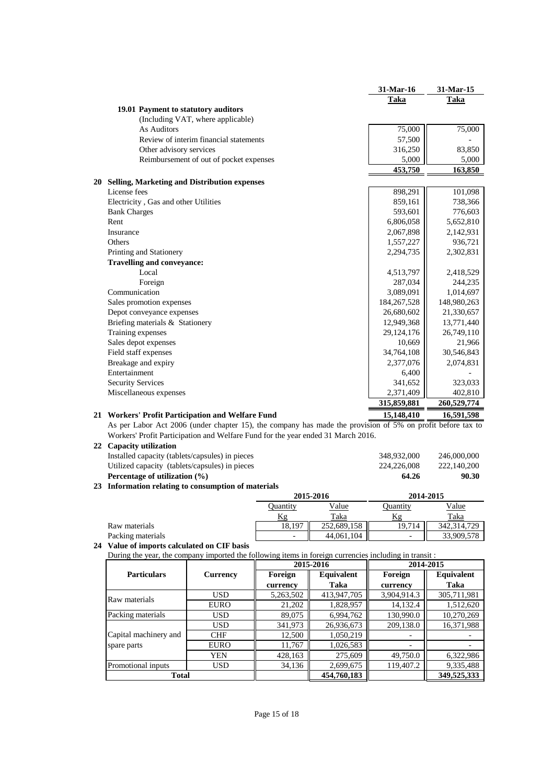|                                                                                                            | 31-Mar-16   | 31-Mar-15   |
|------------------------------------------------------------------------------------------------------------|-------------|-------------|
|                                                                                                            | Taka        | Taka        |
| 19.01 Payment to statutory auditors                                                                        |             |             |
| (Including VAT, where applicable)                                                                          |             |             |
| As Auditors                                                                                                | 75,000      | 75,000      |
| Review of interim financial statements                                                                     | 57,500      |             |
| Other advisory services                                                                                    | 316,250     | 83,850      |
| Reimbursement of out of pocket expenses                                                                    | 5,000       | 5,000       |
|                                                                                                            | 453,750     | 163,850     |
| 20 Selling, Marketing and Distribution expenses                                                            |             |             |
| License fees                                                                                               | 898,291     | 101,098     |
| Electricity, Gas and other Utilities                                                                       | 859,161     | 738,366     |
| <b>Bank Charges</b>                                                                                        | 593,601     | 776,603     |
| Rent                                                                                                       | 6,806,058   | 5,652,810   |
| Insurance                                                                                                  | 2,067,898   | 2,142,931   |
| Others                                                                                                     | 1,557,227   | 936,721     |
| Printing and Stationery                                                                                    | 2,294,735   | 2,302,831   |
| <b>Travelling and conveyance:</b>                                                                          |             |             |
| Local                                                                                                      | 4,513,797   | 2,418,529   |
| Foreign                                                                                                    | 287,034     | 244,235     |
| Communication                                                                                              | 3,089,091   | 1,014,697   |
| Sales promotion expenses                                                                                   | 184,267,528 | 148,980,263 |
| Depot conveyance expenses                                                                                  | 26,680,602  | 21,330,657  |
| Briefing materials & Stationery                                                                            | 12,949,368  | 13,771,440  |
| Training expenses                                                                                          | 29,124,176  | 26,749,110  |
| Sales depot expenses                                                                                       | 10,669      | 21,966      |
| Field staff expenses                                                                                       | 34,764,108  | 30,546,843  |
| Breakage and expiry                                                                                        | 2,377,076   | 2,074,831   |
| Entertainment                                                                                              | 6,400       |             |
| <b>Security Services</b>                                                                                   | 341,652     | 323,033     |
| Miscellaneous expenses                                                                                     | 2,371,409   | 402,810     |
|                                                                                                            | 315,859,881 | 260,529,774 |
| 21 Workers' Profit Participation and Welfare Fund                                                          | 15,148,410  | 16,591,598  |
| As per Labor Act 2006 (under chapter 15), the company has made the provision of 5% on profit before tax to |             |             |
| Workers' Profit Participation and Welfare Fund for the year ended 31 March 2016.                           |             |             |
| 22 Capacity utilization                                                                                    |             |             |
| Installed capacity (tablets/capsules) in pieces                                                            | 348,932,000 | 246,000,000 |
| Utilized capacity (tablets/capsules) in pieces                                                             | 224,226,008 | 222,140,200 |
| Percentage of utilization (%)                                                                              | 64.26       | 90.30       |
| 23 Information relating to consumption of materials                                                        |             |             |
| 2015-2016                                                                                                  | 2014-2015   |             |

|                   | Duantitv                 | <u>Value</u> | Ouantity                 | <u>Value</u>  |
|-------------------|--------------------------|--------------|--------------------------|---------------|
|                   |                          | Taka         |                          | Taka          |
| Raw materials     | 18,197                   | 252,689,158  | 19,714                   | 342, 314, 729 |
| Packing materials | $\overline{\phantom{0}}$ | 44,061,104   | $\overline{\phantom{0}}$ | 33,909,578    |

#### **24 Value of imports calculated on CIF basis**

During the year, the company imported the following items in foreign currencies including in transit :

|                       |                 |           | 2015-2016   | 2014-2015   |             |
|-----------------------|-----------------|-----------|-------------|-------------|-------------|
| <b>Particulars</b>    | <b>Currency</b> | Foreign   | Equivalent  | Foreign     | Equivalent  |
|                       |                 | currency  | Taka        | currency    | Taka        |
| Raw materials         | <b>USD</b>      | 5,263,502 | 413,947,705 | 3,904,914.3 | 305,711,981 |
|                       | <b>EURO</b>     | 21,202    | 1,828,957   | 14,132.4    | 1,512,620   |
| Packing materials     | <b>USD</b>      | 89,075    | 6,994,762   | 130,990.0   | 10,270,269  |
|                       | <b>USD</b>      | 341,973   | 26,936,673  | 209,138.0   | 16,371,988  |
| Capital machinery and | <b>CHF</b>      | 12,500    | 1,050,219   |             |             |
| spare parts           | <b>EURO</b>     | 11,767    | 1,026,583   |             |             |
|                       | <b>YEN</b>      | 428,163   | 275,609     | 49,750.0    | 6,322,986   |
| Promotional inputs    | <b>USD</b>      | 34,136    | 2,699,675   | 119,407.2   | 9,335,488   |
| <b>Total</b>          |                 |           | 454,760,183 |             | 349,525,333 |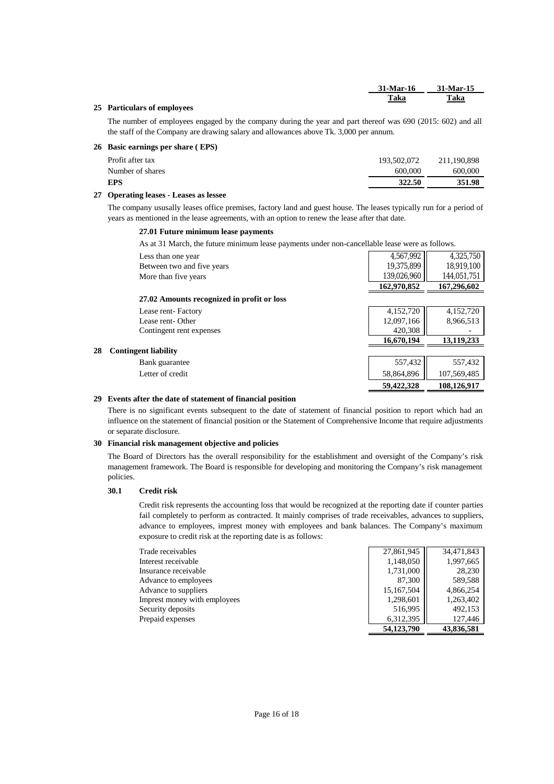|                               | 31-Mar-16 | <b>31-Mar-15</b> |
|-------------------------------|-----------|------------------|
| .<br>$\overline{\phantom{a}}$ | Taka      | <u>Taka</u>      |

#### **25 Particulars of employees**

The number of employees engaged by the company during the year and part thereof was 690 (2015: 602) and all the staff of the Company are drawing salary and allowances above Tk. 3,000 per annum.

#### **26 Basic earnings per share (EPS)**

| Profit after tax | 193,502,072 | 211,190,898 |
|------------------|-------------|-------------|
| Number of shares | 600,000     | 600,000     |
| <b>EPS</b>       | 322.50      | 351.98      |
|                  |             |             |

#### **27 Operating leases - Leases as lessee**

The company ususally leases office premises, factory land and guest house. The leases typically run for a period of years as mentioned in the lease agreements, with an option to renew the lease after that date.

#### **27.01 Future minimum lease payments**

As at 31 March, the future minimum lease payments under non-cancellable lease were as follows.

| Less than one year                         | 4,567,992   | 4,325,750   |
|--------------------------------------------|-------------|-------------|
| Between two and five years                 | 19,375,899  | 18,919,100  |
| More than five years                       | 139,026,960 | 144,051,751 |
|                                            | 162,970,852 | 167,296,602 |
| 27.02 Amounts recognized in profit or loss |             |             |
| Lease rent-Factory                         | 4,152,720   | 4,152,720   |
| Lease rent-Other                           | 12,097,166  | 8,966,513   |
| Contingent rent expenses                   | 420,308     |             |
|                                            | 16,670,194  | 13,119,233  |
| <b>Contingent liability</b><br>28          |             |             |
| Bank guarantee                             | 557,432     | 557,432     |
| Letter of credit                           | 58,864,896  | 107,569,485 |
|                                            | 59,422,328  | 108.126.917 |

#### **29 Events after the date of statement of financial position**

There is no significant events subsequent to the date of statement of financial position to report which had an influence on the statement of financial position or the Statement of Comprehensive Income that require adjustments or separate disclosure.

#### **30 Financial risk management objective and policies**

The Board of Directors has the overall responsibility for the establishment and oversight of the Company's risk management framework. The Board is responsible for developing and monitoring the Company's risk management policies.

#### **30.1 Credit risk**

Credit risk represents the accounting loss that would be recognized at the reporting date if counter parties fail completely to perform as contracted. It mainly comprises of trade receivables, advances to suppliers, advance to employees, imprest money with employees and bank balances. The Company's maximum exposure to credit risk at the reporting date is as follows:

| Trade receivables            | 27,861,945 | 34,471,843 |
|------------------------------|------------|------------|
| Interest receivable          | 1,148,050  | 1,997,665  |
| Insurance receivable         | 1,731,000  | 28,230     |
| Advance to employees         | 87,300     | 589,588    |
| Advance to suppliers         | 15,167,504 | 4,866,254  |
| Imprest money with employees | 1,298,601  | 1,263,402  |
| Security deposits            | 516,995    | 492,153    |
| Prepaid expenses             | 6.312.395  | 127,446    |
|                              | 54,123,790 | 43,836,581 |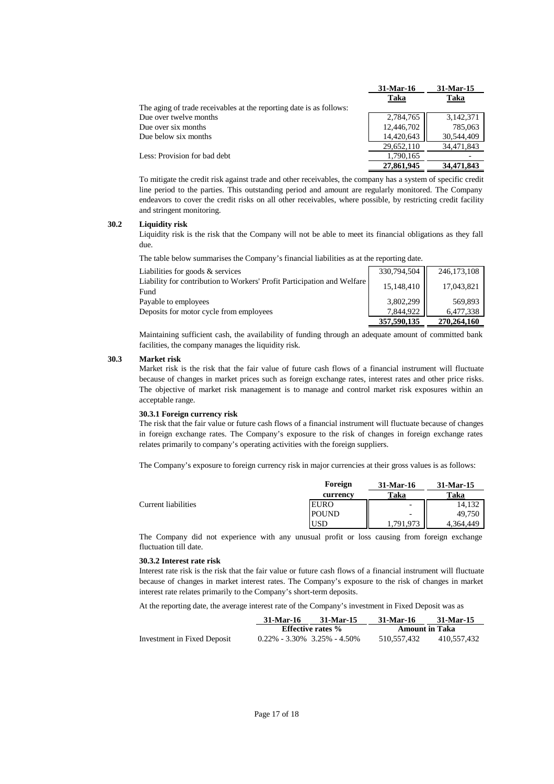|                                                                     | 31-Mar-16  | 31-Mar-15  |
|---------------------------------------------------------------------|------------|------------|
|                                                                     | Taka       | Taka       |
| The aging of trade receivables at the reporting date is as follows: |            |            |
| Due over twelve months                                              | 2,784,765  | 3.142.371  |
| Due over six months                                                 | 12,446,702 | 785,063    |
| Due below six months                                                | 14,420,643 | 30,544,409 |
|                                                                     | 29,652,110 | 34,471,843 |
| Less: Provision for bad debt                                        | 1.790.165  |            |
|                                                                     | 27,861,945 | 34,471,843 |

To mitigate the credit risk against trade and other receivables, the company has a system of specific credit line period to the parties. This outstanding period and amount are regularly monitored. The Company endeavors to cover the credit risks on all other receivables, where possible, by restricting credit facility and stringent monitoring.

#### **30.2 Liquidity risk**

Liquidity risk is the risk that the Company will not be able to meet its financial obligations as they fall due.

The table below summarises the Company's financial liabilities as at the reporting date.

| Liabilities for goods & services                                                | 330,794,504 | 246, 173, 108 |
|---------------------------------------------------------------------------------|-------------|---------------|
| Liability for contribution to Workers' Profit Participation and Welfare<br>Fund | 15,148,410  | 17,043,821    |
| Payable to employees                                                            | 3,802,299   | 569,893       |
| Deposits for motor cycle from employees                                         | 7.844.922   | 6,477,338     |
|                                                                                 | 357,590,135 | 270,264,160   |

Maintaining sufficient cash, the availability of funding through an adequate amount of committed bank facilities, the company manages the liquidity risk.

#### **30.3 Market risk**

Market risk is the risk that the fair value of future cash flows of a financial instrument will fluctuate because of changes in market prices such as foreign exchange rates, interest rates and other price risks. The objective of market risk management is to manage and control market risk exposures within an acceptable range.

#### **30.3.1 Foreign currency risk**

The risk that the fair value or future cash flows of a financial instrument will fluctuate because of changes in foreign exchange rates. The Company's exposure to the risk of changes in foreign exchange rates relates primarily to company's operating activities with the foreign suppliers.

The Company's exposure to foreign currency risk in major currencies at their gross values is as follows:

|                     | Foreign      | 31-Mar-16                | 31-Mar-15 |
|---------------------|--------------|--------------------------|-----------|
|                     | currency     | Taka                     | Taka      |
| Current liabilities | <b>EURO</b>  | $\overline{\phantom{a}}$ | 14.132    |
|                     | <b>POUND</b> | $\overline{\phantom{0}}$ | 49,750    |
|                     | USD          | .791.973                 | 4.364.449 |

The Company did not experience with any unusual profit or loss causing from foreign exchange fluctuation till date.

#### **30.3.2 Interest rate risk**

Interest rate risk is the risk that the fair value or future cash flows of a financial instrument will fluctuate because of changes in market interest rates. The Company's exposure to the risk of changes in market interest rate relates primarily to the Company's short-term deposits.

At the reporting date, the average interest rate of the Company's investment in Fixed Deposit was as

|                             | 31-Mar-16                           | 31-Mar-15 | 31-Mar-16             | 31 Mar 15   |
|-----------------------------|-------------------------------------|-----------|-----------------------|-------------|
|                             | <b>Effective rates</b> %            |           | <b>Amount in Taka</b> |             |
| Investment in Fixed Deposit | $0.22\% - 3.30\% - 3.25\% - 4.50\%$ |           | 510.557.432           | 410.557.432 |